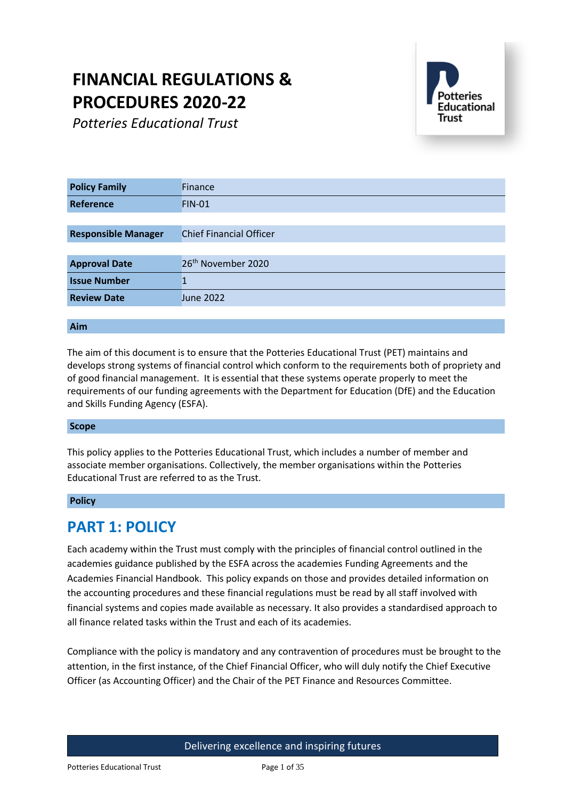# **FINANCIAL REGULATIONS & PROCEDURES 2020-22**

*Potteries Educational Trust*



| <b>Policy Family</b>       | <b>Finance</b>                 |  |  |
|----------------------------|--------------------------------|--|--|
| Reference                  | <b>FIN-01</b>                  |  |  |
|                            |                                |  |  |
| <b>Responsible Manager</b> | <b>Chief Financial Officer</b> |  |  |
|                            |                                |  |  |
| <b>Approval Date</b>       | 26 <sup>th</sup> November 2020 |  |  |
| <b>Issue Number</b>        |                                |  |  |
| <b>Review Date</b>         | June 2022                      |  |  |
|                            |                                |  |  |

### **Aim**

The aim of this document is to ensure that the Potteries Educational Trust (PET) maintains and develops strong systems of financial control which conform to the requirements both of propriety and of good financial management. It is essential that these systems operate properly to meet the requirements of our funding agreements with the Department for Education (DfE) and the Education and Skills Funding Agency (ESFA).

### **Scope**

This policy applies to the Potteries Educational Trust, which includes a number of member and associate member organisations. Collectively, the member organisations within the Potteries Educational Trust are referred to as the Trust.

### **Policy**

# **PART 1: POLICY**

Each academy within the Trust must comply with the principles of financial control outlined in the academies guidance published by the ESFA across the academies Funding Agreements and the Academies Financial Handbook. This policy expands on those and provides detailed information on the accounting procedures and these financial regulations must be read by all staff involved with financial systems and copies made available as necessary. It also provides a standardised approach to all finance related tasks within the Trust and each of its academies.

Compliance with the policy is mandatory and any contravention of procedures must be brought to the attention, in the first instance, of the Chief Financial Officer, who will duly notify the Chief Executive Officer (as Accounting Officer) and the Chair of the PET Finance and Resources Committee.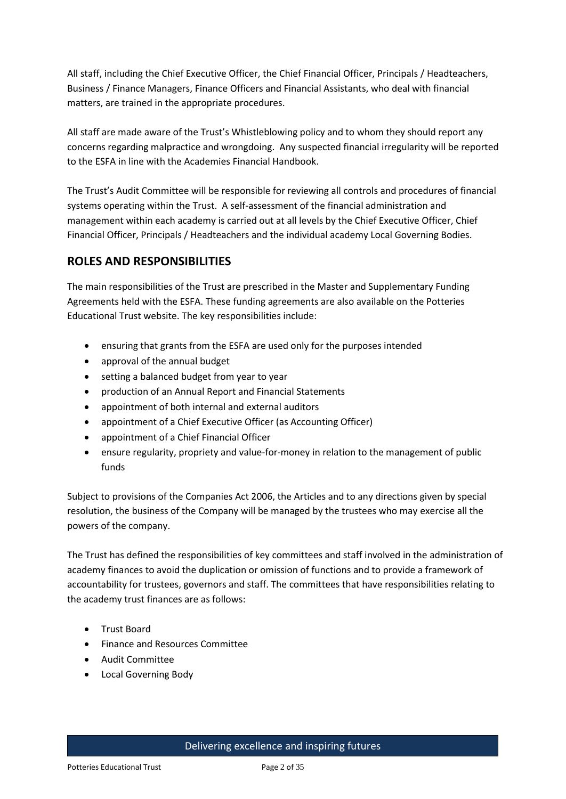All staff, including the Chief Executive Officer, the Chief Financial Officer, Principals / Headteachers, Business / Finance Managers, Finance Officers and Financial Assistants, who deal with financial matters, are trained in the appropriate procedures.

All staff are made aware of the Trust's Whistleblowing policy and to whom they should report any concerns regarding malpractice and wrongdoing. Any suspected financial irregularity will be reported to the ESFA in line with the Academies Financial Handbook.

The Trust's Audit Committee will be responsible for reviewing all controls and procedures of financial systems operating within the Trust. A self-assessment of the financial administration and management within each academy is carried out at all levels by the Chief Executive Officer, Chief Financial Officer, Principals / Headteachers and the individual academy Local Governing Bodies.

# **ROLES AND RESPONSIBILITIES**

The main responsibilities of the Trust are prescribed in the Master and Supplementary Funding Agreements held with the ESFA. These funding agreements are also available on the Potteries Educational Trust website. The key responsibilities include:

- ensuring that grants from the ESFA are used only for the purposes intended
- approval of the annual budget
- setting a balanced budget from year to year
- production of an Annual Report and Financial Statements
- appointment of both internal and external auditors
- appointment of a Chief Executive Officer (as Accounting Officer)
- appointment of a Chief Financial Officer
- ensure regularity, propriety and value-for-money in relation to the management of public funds

Subject to provisions of the Companies Act 2006, the Articles and to any directions given by special resolution, the business of the Company will be managed by the trustees who may exercise all the powers of the company.

The Trust has defined the responsibilities of key committees and staff involved in the administration of academy finances to avoid the duplication or omission of functions and to provide a framework of accountability for trustees, governors and staff. The committees that have responsibilities relating to the academy trust finances are as follows:

- Trust Board
- Finance and Resources Committee
- Audit Committee
- Local Governing Body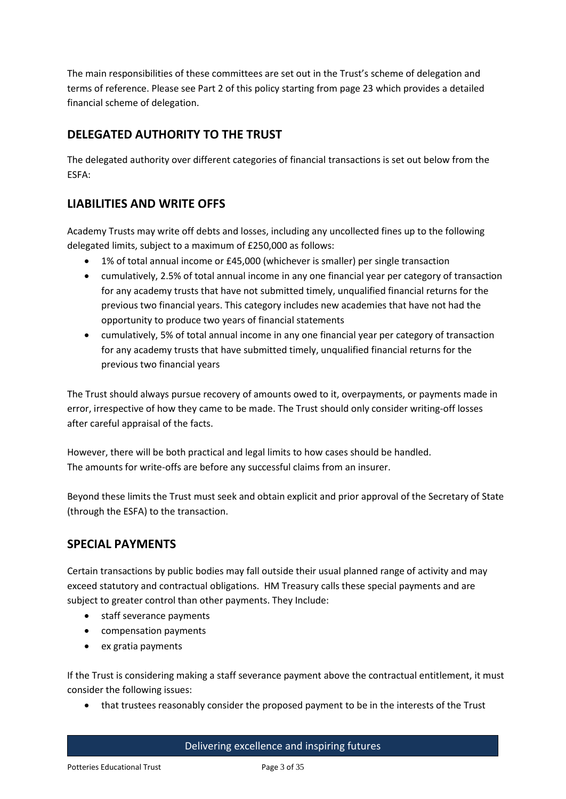The main responsibilities of these committees are set out in the Trust's scheme of delegation and terms of reference. Please see Part 2 of this policy starting from page 23 which provides a detailed financial scheme of delegation.

# **DELEGATED AUTHORITY TO THE TRUST**

The delegated authority over different categories of financial transactions is set out below from the ESFA:

# **LIABILITIES AND WRITE OFFS**

Academy Trusts may write off debts and losses, including any uncollected fines up to the following delegated limits, subject to a maximum of £250,000 as follows:

- 1% of total annual income or £45,000 (whichever is smaller) per single transaction
- cumulatively, 2.5% of total annual income in any one financial year per category of transaction for any academy trusts that have not submitted timely, unqualified financial returns for the previous two financial years. This category includes new academies that have not had the opportunity to produce two years of financial statements
- cumulatively, 5% of total annual income in any one financial year per category of transaction for any academy trusts that have submitted timely, unqualified financial returns for the previous two financial years

The Trust should always pursue recovery of amounts owed to it, overpayments, or payments made in error, irrespective of how they came to be made. The Trust should only consider writing-off losses after careful appraisal of the facts.

However, there will be both practical and legal limits to how cases should be handled. The amounts for write-offs are before any successful claims from an insurer.

Beyond these limits the Trust must seek and obtain explicit and prior approval of the Secretary of State (through the ESFA) to the transaction.

# **SPECIAL PAYMENTS**

Certain transactions by public bodies may fall outside their usual planned range of activity and may exceed statutory and contractual obligations. HM Treasury calls these special payments and are subject to greater control than other payments. They Include:

- staff severance payments
- compensation payments
- ex gratia payments

If the Trust is considering making a staff severance payment above the contractual entitlement, it must consider the following issues:

that trustees reasonably consider the proposed payment to be in the interests of the Trust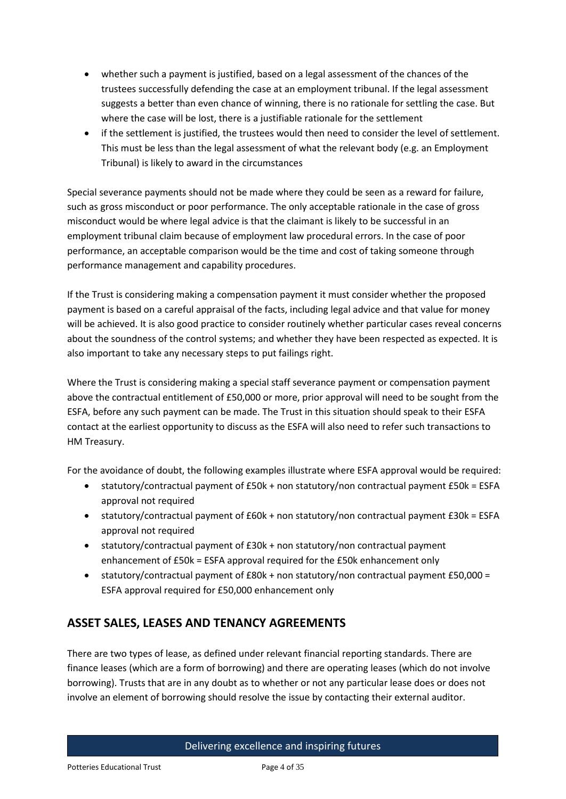- whether such a payment is justified, based on a legal assessment of the chances of the trustees successfully defending the case at an employment tribunal. If the legal assessment suggests a better than even chance of winning, there is no rationale for settling the case. But where the case will be lost, there is a justifiable rationale for the settlement
- if the settlement is justified, the trustees would then need to consider the level of settlement. This must be less than the legal assessment of what the relevant body (e.g. an Employment Tribunal) is likely to award in the circumstances

Special severance payments should not be made where they could be seen as a reward for failure, such as gross misconduct or poor performance. The only acceptable rationale in the case of gross misconduct would be where legal advice is that the claimant is likely to be successful in an employment tribunal claim because of employment law procedural errors. In the case of poor performance, an acceptable comparison would be the time and cost of taking someone through performance management and capability procedures.

If the Trust is considering making a compensation payment it must consider whether the proposed payment is based on a careful appraisal of the facts, including legal advice and that value for money will be achieved. It is also good practice to consider routinely whether particular cases reveal concerns about the soundness of the control systems; and whether they have been respected as expected. It is also important to take any necessary steps to put failings right.

Where the Trust is considering making a special staff severance payment or compensation payment above the contractual entitlement of £50,000 or more, prior approval will need to be sought from the ESFA, before any such payment can be made. The Trust in this situation should speak to their ESFA contact at the earliest opportunity to discuss as the ESFA will also need to refer such transactions to HM Treasury.

For the avoidance of doubt, the following examples illustrate where ESFA approval would be required:

- statutory/contractual payment of £50k + non statutory/non contractual payment £50k = ESFA approval not required
- $\bullet$  statutory/contractual payment of £60k + non statutory/non contractual payment £30k = ESFA approval not required
- statutory/contractual payment of £30k + non statutory/non contractual payment enhancement of £50k = ESFA approval required for the £50k enhancement only
- statutory/contractual payment of £80k + non statutory/non contractual payment £50,000 = ESFA approval required for £50,000 enhancement only

# **ASSET SALES, LEASES AND TENANCY AGREEMENTS**

There are two types of lease, as defined under relevant financial reporting standards. There are finance leases (which are a form of borrowing) and there are operating leases (which do not involve borrowing). Trusts that are in any doubt as to whether or not any particular lease does or does not involve an element of borrowing should resolve the issue by contacting their external auditor.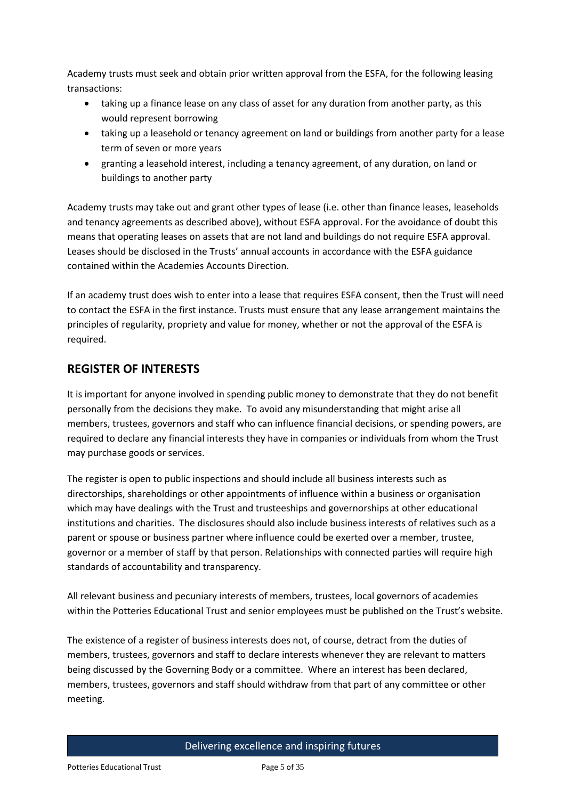Academy trusts must seek and obtain prior written approval from the ESFA, for the following leasing transactions:

- taking up a finance lease on any class of asset for any duration from another party, as this would represent borrowing
- taking up a leasehold or tenancy agreement on land or buildings from another party for a lease term of seven or more years
- granting a leasehold interest, including a tenancy agreement, of any duration, on land or buildings to another party

Academy trusts may take out and grant other types of lease (i.e. other than finance leases, leaseholds and tenancy agreements as described above), without ESFA approval. For the avoidance of doubt this means that operating leases on assets that are not land and buildings do not require ESFA approval. Leases should be disclosed in the Trusts' annual accounts in accordance with the ESFA guidance contained within the Academies Accounts Direction.

If an academy trust does wish to enter into a lease that requires ESFA consent, then the Trust will need to contact the ESFA in the first instance. Trusts must ensure that any lease arrangement maintains the principles of regularity, propriety and value for money, whether or not the approval of the ESFA is required.

# **REGISTER OF INTERESTS**

It is important for anyone involved in spending public money to demonstrate that they do not benefit personally from the decisions they make. To avoid any misunderstanding that might arise all members, trustees, governors and staff who can influence financial decisions, or spending powers, are required to declare any financial interests they have in companies or individuals from whom the Trust may purchase goods or services.

The register is open to public inspections and should include all business interests such as directorships, shareholdings or other appointments of influence within a business or organisation which may have dealings with the Trust and trusteeships and governorships at other educational institutions and charities. The disclosures should also include business interests of relatives such as a parent or spouse or business partner where influence could be exerted over a member, trustee, governor or a member of staff by that person. Relationships with connected parties will require high standards of accountability and transparency.

All relevant business and pecuniary interests of members, trustees, local governors of academies within the Potteries Educational Trust and senior employees must be published on the Trust's website.

The existence of a register of business interests does not, of course, detract from the duties of members, trustees, governors and staff to declare interests whenever they are relevant to matters being discussed by the Governing Body or a committee. Where an interest has been declared, members, trustees, governors and staff should withdraw from that part of any committee or other meeting.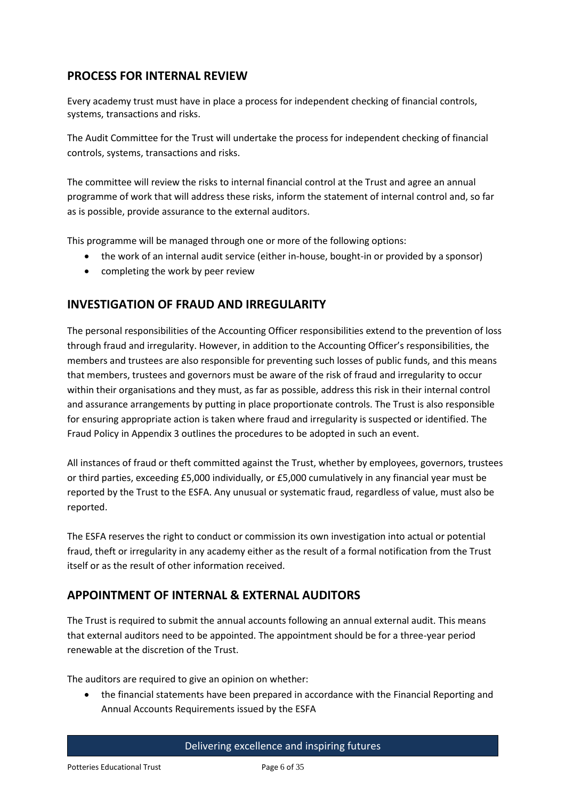# **PROCESS FOR INTERNAL REVIEW**

Every academy trust must have in place a process for independent checking of financial controls, systems, transactions and risks.

The Audit Committee for the Trust will undertake the process for independent checking of financial controls, systems, transactions and risks.

The committee will review the risks to internal financial control at the Trust and agree an annual programme of work that will address these risks, inform the statement of internal control and, so far as is possible, provide assurance to the external auditors.

This programme will be managed through one or more of the following options:

- the work of an internal audit service (either in-house, bought-in or provided by a sponsor)
- completing the work by peer review

### **INVESTIGATION OF FRAUD AND IRREGULARITY**

The personal responsibilities of the Accounting Officer responsibilities extend to the prevention of loss through fraud and irregularity. However, in addition to the Accounting Officer's responsibilities, the members and trustees are also responsible for preventing such losses of public funds, and this means that members, trustees and governors must be aware of the risk of fraud and irregularity to occur within their organisations and they must, as far as possible, address this risk in their internal control and assurance arrangements by putting in place proportionate controls. The Trust is also responsible for ensuring appropriate action is taken where fraud and irregularity is suspected or identified. The Fraud Policy in Appendix 3 outlines the procedures to be adopted in such an event.

All instances of fraud or theft committed against the Trust, whether by employees, governors, trustees or third parties, exceeding £5,000 individually, or £5,000 cumulatively in any financial year must be reported by the Trust to the ESFA. Any unusual or systematic fraud, regardless of value, must also be reported.

The ESFA reserves the right to conduct or commission its own investigation into actual or potential fraud, theft or irregularity in any academy either as the result of a formal notification from the Trust itself or as the result of other information received.

# **APPOINTMENT OF INTERNAL & EXTERNAL AUDITORS**

The Trust is required to submit the annual accounts following an annual external audit. This means that external auditors need to be appointed. The appointment should be for a three-year period renewable at the discretion of the Trust.

The auditors are required to give an opinion on whether:

 the financial statements have been prepared in accordance with the Financial Reporting and Annual Accounts Requirements issued by the ESFA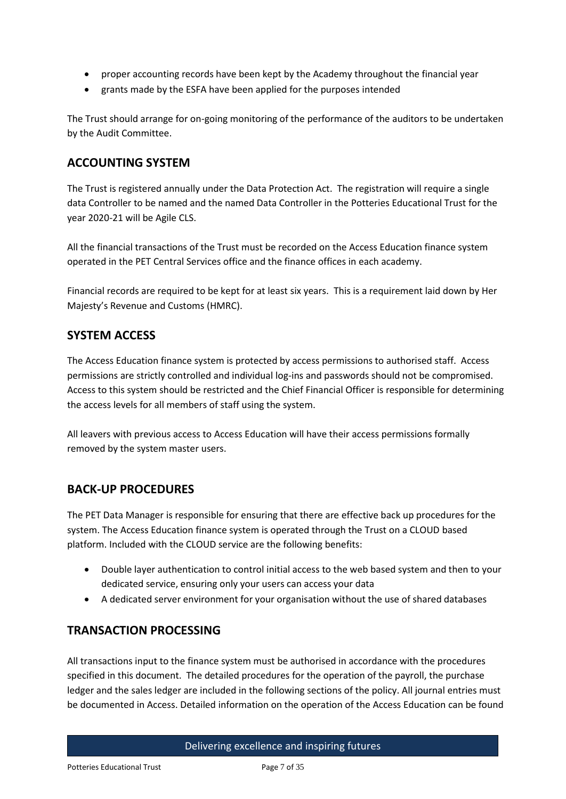- proper accounting records have been kept by the Academy throughout the financial year
- grants made by the ESFA have been applied for the purposes intended

The Trust should arrange for on-going monitoring of the performance of the auditors to be undertaken by the Audit Committee.

### **ACCOUNTING SYSTEM**

The Trust is registered annually under the Data Protection Act. The registration will require a single data Controller to be named and the named Data Controller in the Potteries Educational Trust for the year 2020-21 will be Agile CLS.

All the financial transactions of the Trust must be recorded on the Access Education finance system operated in the PET Central Services office and the finance offices in each academy.

Financial records are required to be kept for at least six years. This is a requirement laid down by Her Majesty's Revenue and Customs (HMRC).

### **SYSTEM ACCESS**

The Access Education finance system is protected by access permissions to authorised staff. Access permissions are strictly controlled and individual log-ins and passwords should not be compromised. Access to this system should be restricted and the Chief Financial Officer is responsible for determining the access levels for all members of staff using the system.

All leavers with previous access to Access Education will have their access permissions formally removed by the system master users.

# **BACK-UP PROCEDURES**

The PET Data Manager is responsible for ensuring that there are effective back up procedures for the system. The Access Education finance system is operated through the Trust on a CLOUD based platform. Included with the CLOUD service are the following benefits:

- Double layer authentication to control initial access to the web based system and then to your dedicated service, ensuring only your users can access your data
- A dedicated server environment for your organisation without the use of shared databases

### **TRANSACTION PROCESSING**

All transactions input to the finance system must be authorised in accordance with the procedures specified in this document. The detailed procedures for the operation of the payroll, the purchase ledger and the sales ledger are included in the following sections of the policy. All journal entries must be documented in Access. Detailed information on the operation of the Access Education can be found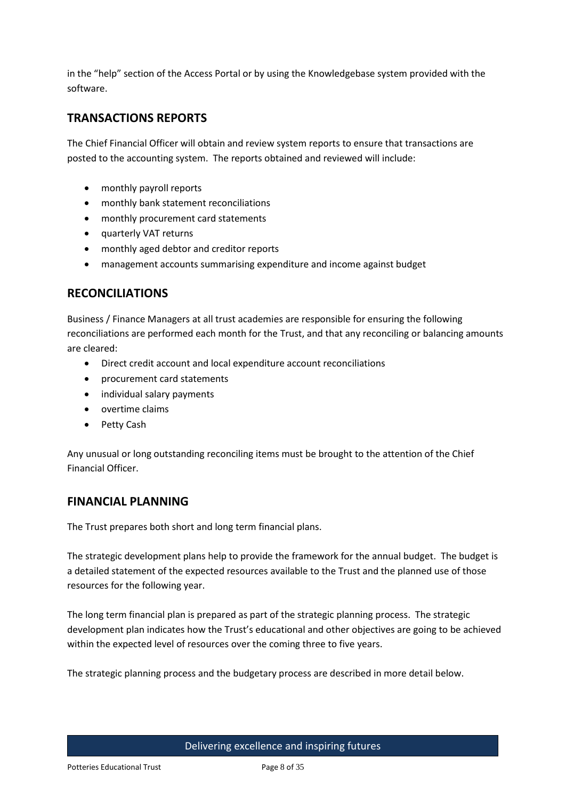in the "help" section of the Access Portal or by using the Knowledgebase system provided with the software.

# **TRANSACTIONS REPORTS**

The Chief Financial Officer will obtain and review system reports to ensure that transactions are posted to the accounting system. The reports obtained and reviewed will include:

- monthly payroll reports
- monthly bank statement reconciliations
- monthly procurement card statements
- quarterly VAT returns
- monthly aged debtor and creditor reports
- management accounts summarising expenditure and income against budget

# **RECONCILIATIONS**

Business / Finance Managers at all trust academies are responsible for ensuring the following reconciliations are performed each month for the Trust, and that any reconciling or balancing amounts are cleared:

- Direct credit account and local expenditure account reconciliations
- procurement card statements
- individual salary payments
- overtime claims
- Petty Cash

Any unusual or long outstanding reconciling items must be brought to the attention of the Chief Financial Officer.

### **FINANCIAL PLANNING**

The Trust prepares both short and long term financial plans.

The strategic development plans help to provide the framework for the annual budget. The budget is a detailed statement of the expected resources available to the Trust and the planned use of those resources for the following year.

The long term financial plan is prepared as part of the strategic planning process. The strategic development plan indicates how the Trust's educational and other objectives are going to be achieved within the expected level of resources over the coming three to five years.

The strategic planning process and the budgetary process are described in more detail below.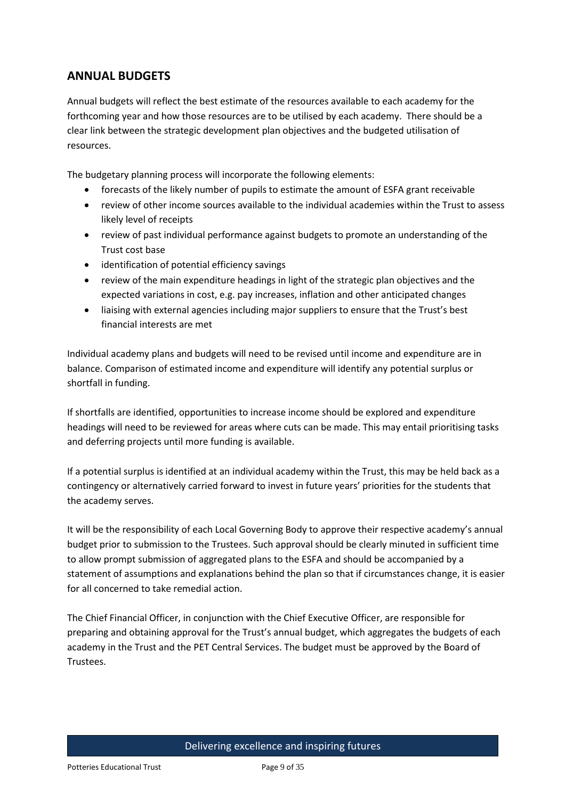# **ANNUAL BUDGETS**

Annual budgets will reflect the best estimate of the resources available to each academy for the forthcoming year and how those resources are to be utilised by each academy. There should be a clear link between the strategic development plan objectives and the budgeted utilisation of resources.

The budgetary planning process will incorporate the following elements:

- forecasts of the likely number of pupils to estimate the amount of ESFA grant receivable
- review of other income sources available to the individual academies within the Trust to assess likely level of receipts
- review of past individual performance against budgets to promote an understanding of the Trust cost base
- identification of potential efficiency savings
- review of the main expenditure headings in light of the strategic plan objectives and the expected variations in cost, e.g. pay increases, inflation and other anticipated changes
- liaising with external agencies including major suppliers to ensure that the Trust's best financial interests are met

Individual academy plans and budgets will need to be revised until income and expenditure are in balance. Comparison of estimated income and expenditure will identify any potential surplus or shortfall in funding.

If shortfalls are identified, opportunities to increase income should be explored and expenditure headings will need to be reviewed for areas where cuts can be made. This may entail prioritising tasks and deferring projects until more funding is available.

If a potential surplus is identified at an individual academy within the Trust, this may be held back as a contingency or alternatively carried forward to invest in future years' priorities for the students that the academy serves.

It will be the responsibility of each Local Governing Body to approve their respective academy's annual budget prior to submission to the Trustees. Such approval should be clearly minuted in sufficient time to allow prompt submission of aggregated plans to the ESFA and should be accompanied by a statement of assumptions and explanations behind the plan so that if circumstances change, it is easier for all concerned to take remedial action.

The Chief Financial Officer, in conjunction with the Chief Executive Officer, are responsible for preparing and obtaining approval for the Trust's annual budget, which aggregates the budgets of each academy in the Trust and the PET Central Services. The budget must be approved by the Board of Trustees.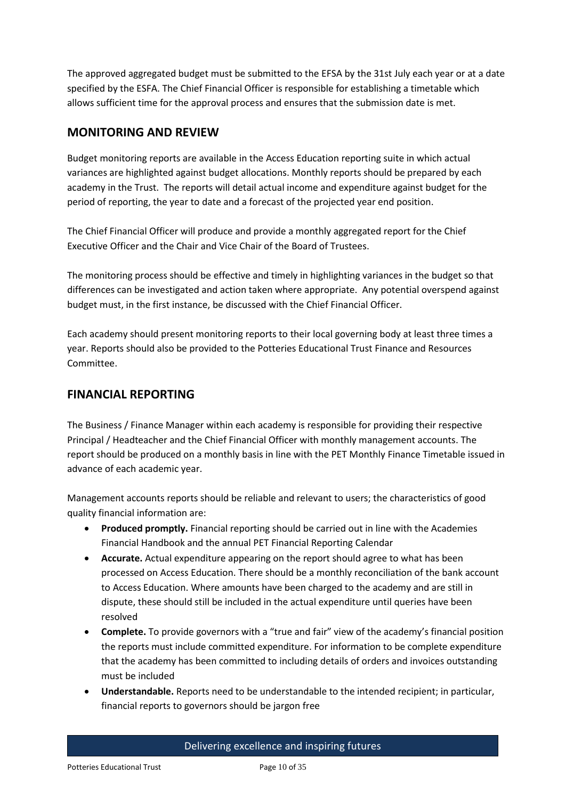The approved aggregated budget must be submitted to the EFSA by the 31st July each year or at a date specified by the ESFA. The Chief Financial Officer is responsible for establishing a timetable which allows sufficient time for the approval process and ensures that the submission date is met.

# **MONITORING AND REVIEW**

Budget monitoring reports are available in the Access Education reporting suite in which actual variances are highlighted against budget allocations. Monthly reports should be prepared by each academy in the Trust. The reports will detail actual income and expenditure against budget for the period of reporting, the year to date and a forecast of the projected year end position.

The Chief Financial Officer will produce and provide a monthly aggregated report for the Chief Executive Officer and the Chair and Vice Chair of the Board of Trustees.

The monitoring process should be effective and timely in highlighting variances in the budget so that differences can be investigated and action taken where appropriate. Any potential overspend against budget must, in the first instance, be discussed with the Chief Financial Officer.

Each academy should present monitoring reports to their local governing body at least three times a year. Reports should also be provided to the Potteries Educational Trust Finance and Resources Committee.

# **FINANCIAL REPORTING**

The Business / Finance Manager within each academy is responsible for providing their respective Principal / Headteacher and the Chief Financial Officer with monthly management accounts. The report should be produced on a monthly basis in line with the PET Monthly Finance Timetable issued in advance of each academic year.

Management accounts reports should be reliable and relevant to users; the characteristics of good quality financial information are:

- **Produced promptly.** Financial reporting should be carried out in line with the Academies Financial Handbook and the annual PET Financial Reporting Calendar
- **Accurate.** Actual expenditure appearing on the report should agree to what has been processed on Access Education. There should be a monthly reconciliation of the bank account to Access Education. Where amounts have been charged to the academy and are still in dispute, these should still be included in the actual expenditure until queries have been resolved
- **Complete.** To provide governors with a "true and fair" view of the academy's financial position the reports must include committed expenditure. For information to be complete expenditure that the academy has been committed to including details of orders and invoices outstanding must be included
- **Understandable.** Reports need to be understandable to the intended recipient; in particular, financial reports to governors should be jargon free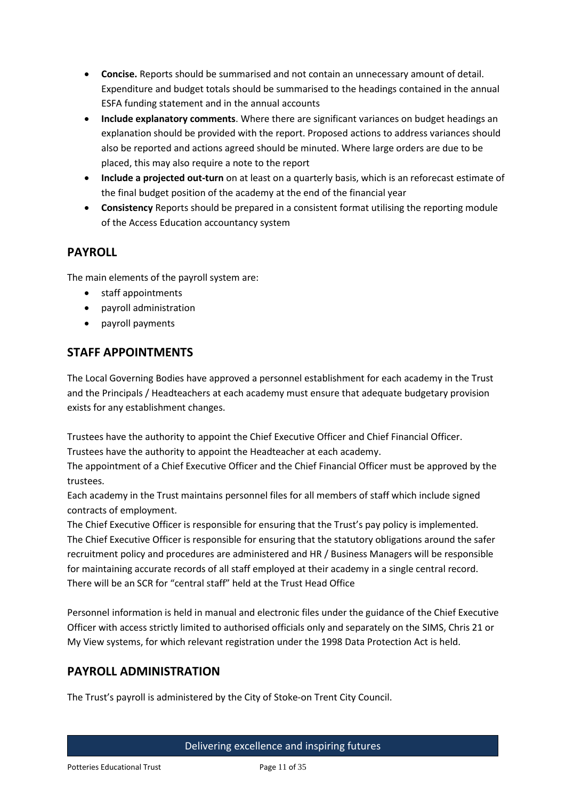- **Concise.** Reports should be summarised and not contain an unnecessary amount of detail. Expenditure and budget totals should be summarised to the headings contained in the annual ESFA funding statement and in the annual accounts
- **Include explanatory comments**. Where there are significant variances on budget headings an explanation should be provided with the report. Proposed actions to address variances should also be reported and actions agreed should be minuted. Where large orders are due to be placed, this may also require a note to the report
- **Include a projected out-turn** on at least on a quarterly basis, which is an reforecast estimate of the final budget position of the academy at the end of the financial year
- **Consistency** Reports should be prepared in a consistent format utilising the reporting module of the Access Education accountancy system

# **PAYROLL**

The main elements of the payroll system are:

- staff appointments
- payroll administration
- payroll payments

# **STAFF APPOINTMENTS**

The Local Governing Bodies have approved a personnel establishment for each academy in the Trust and the Principals / Headteachers at each academy must ensure that adequate budgetary provision exists for any establishment changes.

Trustees have the authority to appoint the Chief Executive Officer and Chief Financial Officer. Trustees have the authority to appoint the Headteacher at each academy.

The appointment of a Chief Executive Officer and the Chief Financial Officer must be approved by the trustees.

Each academy in the Trust maintains personnel files for all members of staff which include signed contracts of employment.

The Chief Executive Officer is responsible for ensuring that the Trust's pay policy is implemented. The Chief Executive Officer is responsible for ensuring that the statutory obligations around the safer recruitment policy and procedures are administered and HR / Business Managers will be responsible for maintaining accurate records of all staff employed at their academy in a single central record. There will be an SCR for "central staff" held at the Trust Head Office

Personnel information is held in manual and electronic files under the guidance of the Chief Executive Officer with access strictly limited to authorised officials only and separately on the SIMS, Chris 21 or My View systems, for which relevant registration under the 1998 Data Protection Act is held.

# **PAYROLL ADMINISTRATION**

The Trust's payroll is administered by the City of Stoke-on Trent City Council.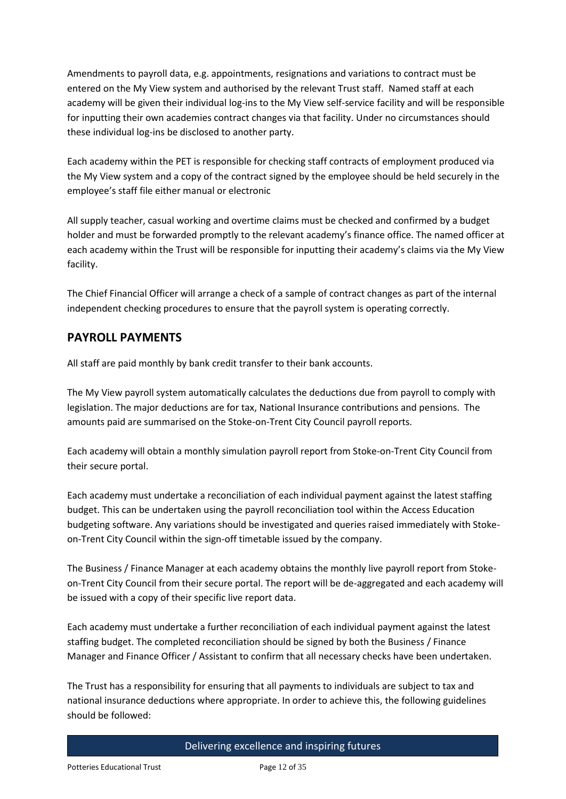Amendments to payroll data, e.g. appointments, resignations and variations to contract must be entered on the My View system and authorised by the relevant Trust staff. Named staff at each academy will be given their individual log-ins to the My View self-service facility and will be responsible for inputting their own academies contract changes via that facility. Under no circumstances should these individual log-ins be disclosed to another party.

Each academy within the PET is responsible for checking staff contracts of employment produced via the My View system and a copy of the contract signed by the employee should be held securely in the employee's staff file either manual or electronic

All supply teacher, casual working and overtime claims must be checked and confirmed by a budget holder and must be forwarded promptly to the relevant academy's finance office. The named officer at each academy within the Trust will be responsible for inputting their academy's claims via the My View facility.

The Chief Financial Officer will arrange a check of a sample of contract changes as part of the internal independent checking procedures to ensure that the payroll system is operating correctly.

# **PAYROLL PAYMENTS**

All staff are paid monthly by bank credit transfer to their bank accounts.

The My View payroll system automatically calculates the deductions due from payroll to comply with legislation. The major deductions are for tax, National Insurance contributions and pensions. The amounts paid are summarised on the Stoke-on-Trent City Council payroll reports.

Each academy will obtain a monthly simulation payroll report from Stoke-on-Trent City Council from their secure portal.

Each academy must undertake a reconciliation of each individual payment against the latest staffing budget. This can be undertaken using the payroll reconciliation tool within the Access Education budgeting software. Any variations should be investigated and queries raised immediately with Stokeon-Trent City Council within the sign-off timetable issued by the company.

The Business / Finance Manager at each academy obtains the monthly live payroll report from Stokeon-Trent City Council from their secure portal. The report will be de-aggregated and each academy will be issued with a copy of their specific live report data.

Each academy must undertake a further reconciliation of each individual payment against the latest staffing budget. The completed reconciliation should be signed by both the Business / Finance Manager and Finance Officer / Assistant to confirm that all necessary checks have been undertaken.

The Trust has a responsibility for ensuring that all payments to individuals are subject to tax and national insurance deductions where appropriate. In order to achieve this, the following guidelines should be followed: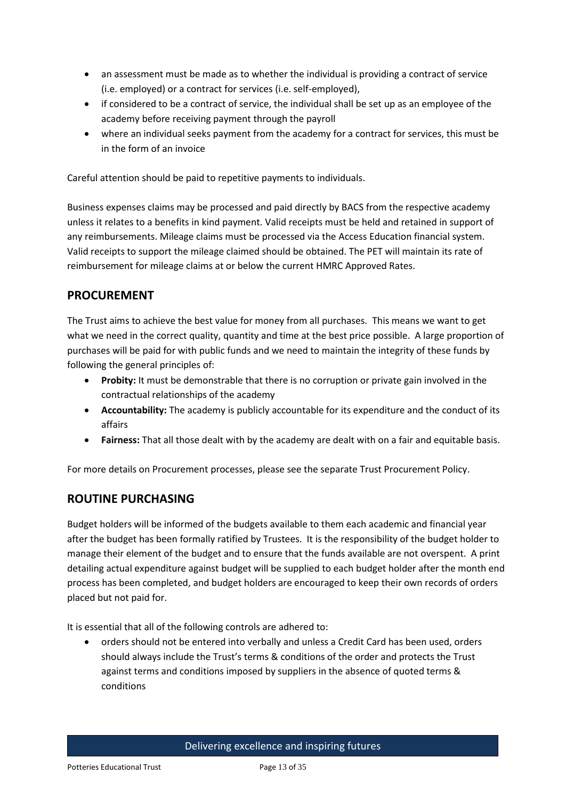- an assessment must be made as to whether the individual is providing a contract of service (i.e. employed) or a contract for services (i.e. self-employed),
- if considered to be a contract of service, the individual shall be set up as an employee of the academy before receiving payment through the payroll
- where an individual seeks payment from the academy for a contract for services, this must be in the form of an invoice

Careful attention should be paid to repetitive payments to individuals.

Business expenses claims may be processed and paid directly by BACS from the respective academy unless it relates to a benefits in kind payment. Valid receipts must be held and retained in support of any reimbursements. Mileage claims must be processed via the Access Education financial system. Valid receipts to support the mileage claimed should be obtained. The PET will maintain its rate of reimbursement for mileage claims at or below the current HMRC Approved Rates.

# **PROCUREMENT**

The Trust aims to achieve the best value for money from all purchases. This means we want to get what we need in the correct quality, quantity and time at the best price possible. A large proportion of purchases will be paid for with public funds and we need to maintain the integrity of these funds by following the general principles of:

- **Probity:** It must be demonstrable that there is no corruption or private gain involved in the contractual relationships of the academy
- **Accountability:** The academy is publicly accountable for its expenditure and the conduct of its affairs
- **Fairness:** That all those dealt with by the academy are dealt with on a fair and equitable basis.

For more details on Procurement processes, please see the separate Trust Procurement Policy.

# **ROUTINE PURCHASING**

Budget holders will be informed of the budgets available to them each academic and financial year after the budget has been formally ratified by Trustees. It is the responsibility of the budget holder to manage their element of the budget and to ensure that the funds available are not overspent. A print detailing actual expenditure against budget will be supplied to each budget holder after the month end process has been completed, and budget holders are encouraged to keep their own records of orders placed but not paid for.

It is essential that all of the following controls are adhered to:

 orders should not be entered into verbally and unless a Credit Card has been used, orders should always include the Trust's terms & conditions of the order and protects the Trust against terms and conditions imposed by suppliers in the absence of quoted terms & conditions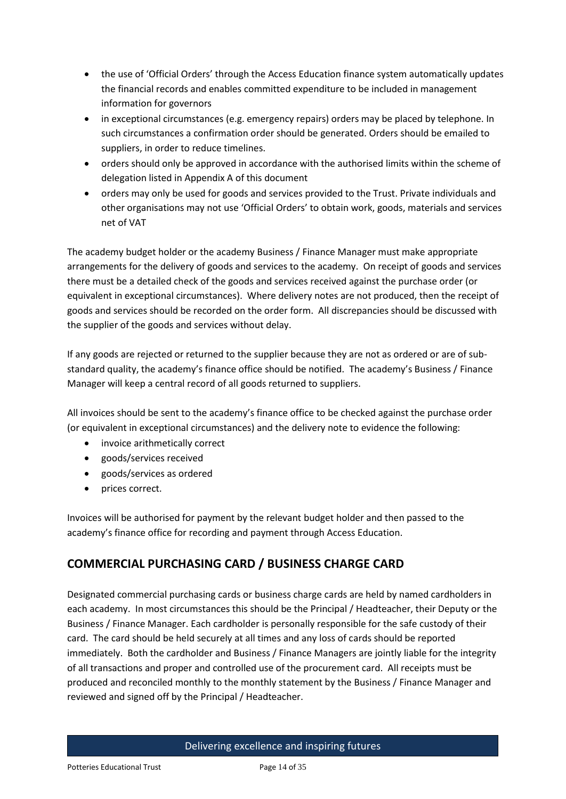- the use of 'Official Orders' through the Access Education finance system automatically updates the financial records and enables committed expenditure to be included in management information for governors
- in exceptional circumstances (e.g. emergency repairs) orders may be placed by telephone. In such circumstances a confirmation order should be generated. Orders should be emailed to suppliers, in order to reduce timelines.
- orders should only be approved in accordance with the authorised limits within the scheme of delegation listed in Appendix A of this document
- orders may only be used for goods and services provided to the Trust. Private individuals and other organisations may not use 'Official Orders' to obtain work, goods, materials and services net of VAT

The academy budget holder or the academy Business / Finance Manager must make appropriate arrangements for the delivery of goods and services to the academy. On receipt of goods and services there must be a detailed check of the goods and services received against the purchase order (or equivalent in exceptional circumstances). Where delivery notes are not produced, then the receipt of goods and services should be recorded on the order form. All discrepancies should be discussed with the supplier of the goods and services without delay.

If any goods are rejected or returned to the supplier because they are not as ordered or are of substandard quality, the academy's finance office should be notified. The academy's Business / Finance Manager will keep a central record of all goods returned to suppliers.

All invoices should be sent to the academy's finance office to be checked against the purchase order (or equivalent in exceptional circumstances) and the delivery note to evidence the following:

- invoice arithmetically correct
- goods/services received
- goods/services as ordered
- prices correct.

Invoices will be authorised for payment by the relevant budget holder and then passed to the academy's finance office for recording and payment through Access Education.

# **COMMERCIAL PURCHASING CARD / BUSINESS CHARGE CARD**

Designated commercial purchasing cards or business charge cards are held by named cardholders in each academy. In most circumstances this should be the Principal / Headteacher, their Deputy or the Business / Finance Manager. Each cardholder is personally responsible for the safe custody of their card. The card should be held securely at all times and any loss of cards should be reported immediately. Both the cardholder and Business / Finance Managers are jointly liable for the integrity of all transactions and proper and controlled use of the procurement card. All receipts must be produced and reconciled monthly to the monthly statement by the Business / Finance Manager and reviewed and signed off by the Principal / Headteacher.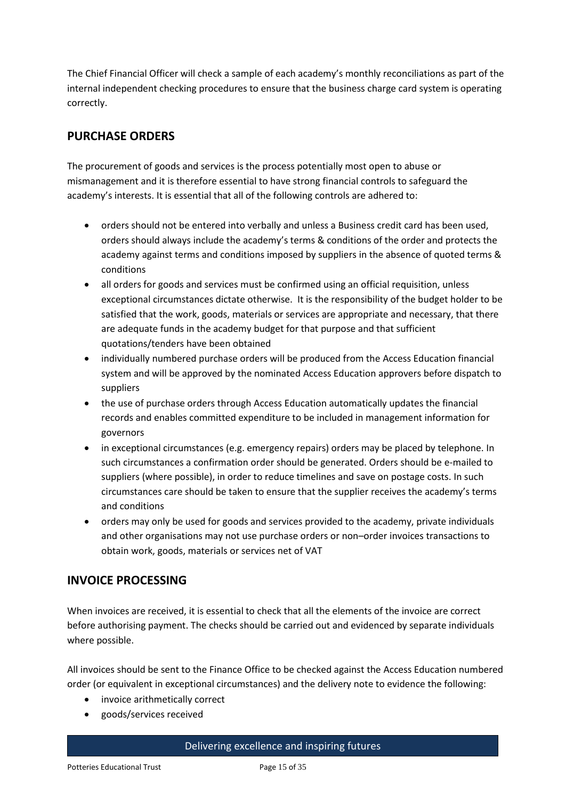The Chief Financial Officer will check a sample of each academy's monthly reconciliations as part of the internal independent checking procedures to ensure that the business charge card system is operating correctly.

# **PURCHASE ORDERS**

The procurement of goods and services is the process potentially most open to abuse or mismanagement and it is therefore essential to have strong financial controls to safeguard the academy's interests. It is essential that all of the following controls are adhered to:

- orders should not be entered into verbally and unless a Business credit card has been used, orders should always include the academy's terms & conditions of the order and protects the academy against terms and conditions imposed by suppliers in the absence of quoted terms & conditions
- all orders for goods and services must be confirmed using an official requisition, unless exceptional circumstances dictate otherwise. It is the responsibility of the budget holder to be satisfied that the work, goods, materials or services are appropriate and necessary, that there are adequate funds in the academy budget for that purpose and that sufficient quotations/tenders have been obtained
- individually numbered purchase orders will be produced from the Access Education financial system and will be approved by the nominated Access Education approvers before dispatch to suppliers
- the use of purchase orders through Access Education automatically updates the financial records and enables committed expenditure to be included in management information for governors
- in exceptional circumstances (e.g. emergency repairs) orders may be placed by telephone. In such circumstances a confirmation order should be generated. Orders should be e-mailed to suppliers (where possible), in order to reduce timelines and save on postage costs. In such circumstances care should be taken to ensure that the supplier receives the academy's terms and conditions
- orders may only be used for goods and services provided to the academy, private individuals and other organisations may not use purchase orders or non–order invoices transactions to obtain work, goods, materials or services net of VAT

# **INVOICE PROCESSING**

When invoices are received, it is essential to check that all the elements of the invoice are correct before authorising payment. The checks should be carried out and evidenced by separate individuals where possible.

All invoices should be sent to the Finance Office to be checked against the Access Education numbered order (or equivalent in exceptional circumstances) and the delivery note to evidence the following:

- invoice arithmetically correct
- goods/services received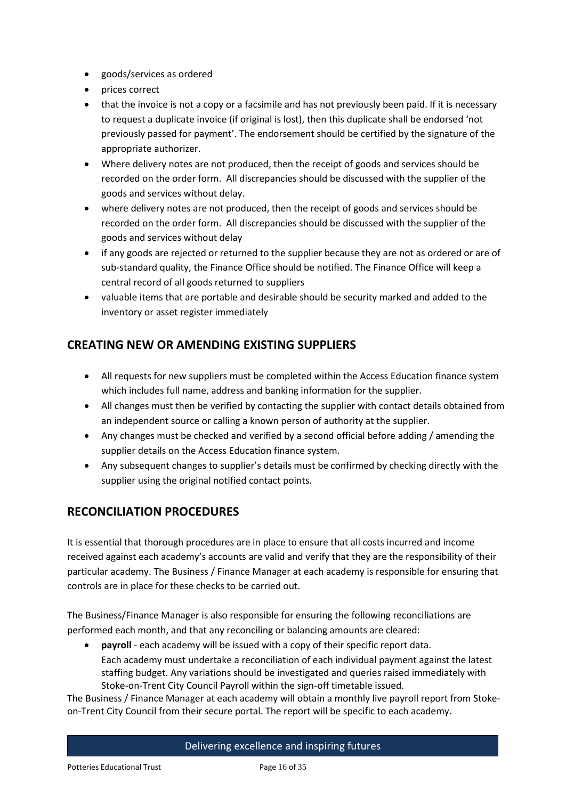- goods/services as ordered
- prices correct
- that the invoice is not a copy or a facsimile and has not previously been paid. If it is necessary to request a duplicate invoice (if original is lost), then this duplicate shall be endorsed 'not previously passed for payment'. The endorsement should be certified by the signature of the appropriate authorizer.
- Where delivery notes are not produced, then the receipt of goods and services should be recorded on the order form. All discrepancies should be discussed with the supplier of the goods and services without delay.
- where delivery notes are not produced, then the receipt of goods and services should be recorded on the order form. All discrepancies should be discussed with the supplier of the goods and services without delay
- if any goods are rejected or returned to the supplier because they are not as ordered or are of sub-standard quality, the Finance Office should be notified. The Finance Office will keep a central record of all goods returned to suppliers
- valuable items that are portable and desirable should be security marked and added to the inventory or asset register immediately

# **CREATING NEW OR AMENDING EXISTING SUPPLIERS**

- All requests for new suppliers must be completed within the Access Education finance system which includes full name, address and banking information for the supplier.
- All changes must then be verified by contacting the supplier with contact details obtained from an independent source or calling a known person of authority at the supplier.
- Any changes must be checked and verified by a second official before adding / amending the supplier details on the Access Education finance system.
- Any subsequent changes to supplier's details must be confirmed by checking directly with the supplier using the original notified contact points.

# **RECONCILIATION PROCEDURES**

It is essential that thorough procedures are in place to ensure that all costs incurred and income received against each academy's accounts are valid and verify that they are the responsibility of their particular academy. The Business / Finance Manager at each academy is responsible for ensuring that controls are in place for these checks to be carried out.

The Business/Finance Manager is also responsible for ensuring the following reconciliations are performed each month, and that any reconciling or balancing amounts are cleared:

 **payroll** - each academy will be issued with a copy of their specific report data. Each academy must undertake a reconciliation of each individual payment against the latest staffing budget. Any variations should be investigated and queries raised immediately with Stoke-on-Trent City Council Payroll within the sign-off timetable issued.

The Business / Finance Manager at each academy will obtain a monthly live payroll report from Stokeon-Trent City Council from their secure portal. The report will be specific to each academy.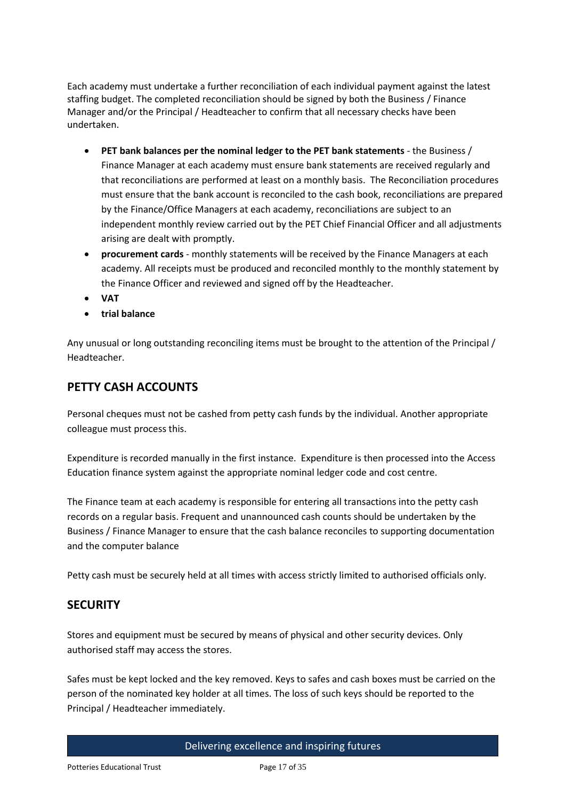Each academy must undertake a further reconciliation of each individual payment against the latest staffing budget. The completed reconciliation should be signed by both the Business / Finance Manager and/or the Principal / Headteacher to confirm that all necessary checks have been undertaken.

- **PET bank balances per the nominal ledger to the PET bank statements** the Business / Finance Manager at each academy must ensure bank statements are received regularly and that reconciliations are performed at least on a monthly basis. The Reconciliation procedures must ensure that the bank account is reconciled to the cash book, reconciliations are prepared by the Finance/Office Managers at each academy, reconciliations are subject to an independent monthly review carried out by the PET Chief Financial Officer and all adjustments arising are dealt with promptly.
- **procurement cards** monthly statements will be received by the Finance Managers at each academy. All receipts must be produced and reconciled monthly to the monthly statement by the Finance Officer and reviewed and signed off by the Headteacher.
- **VAT**
- **trial balance**

Any unusual or long outstanding reconciling items must be brought to the attention of the Principal / Headteacher.

# **PETTY CASH ACCOUNTS**

Personal cheques must not be cashed from petty cash funds by the individual. Another appropriate colleague must process this.

Expenditure is recorded manually in the first instance. Expenditure is then processed into the Access Education finance system against the appropriate nominal ledger code and cost centre.

The Finance team at each academy is responsible for entering all transactions into the petty cash records on a regular basis. Frequent and unannounced cash counts should be undertaken by the Business / Finance Manager to ensure that the cash balance reconciles to supporting documentation and the computer balance

Petty cash must be securely held at all times with access strictly limited to authorised officials only.

# **SECURITY**

Stores and equipment must be secured by means of physical and other security devices. Only authorised staff may access the stores.

Safes must be kept locked and the key removed. Keys to safes and cash boxes must be carried on the person of the nominated key holder at all times. The loss of such keys should be reported to the Principal / Headteacher immediately.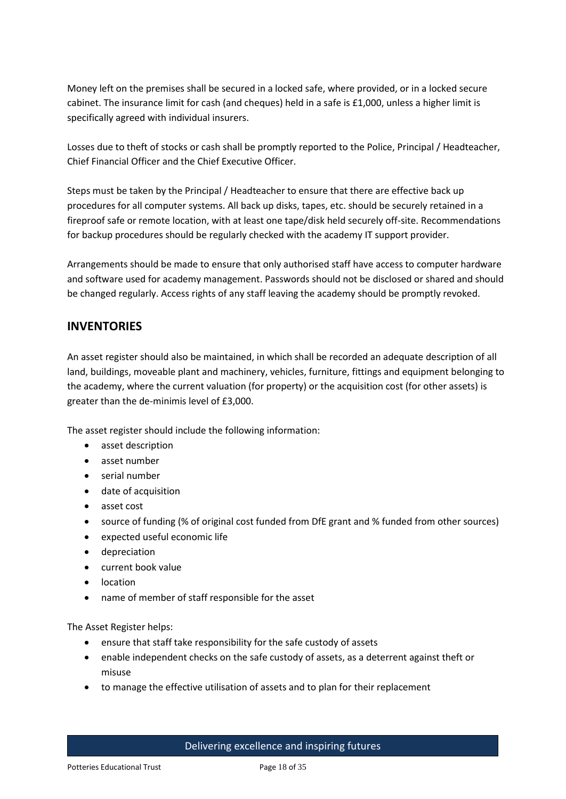Money left on the premises shall be secured in a locked safe, where provided, or in a locked secure cabinet. The insurance limit for cash (and cheques) held in a safe is £1,000, unless a higher limit is specifically agreed with individual insurers.

Losses due to theft of stocks or cash shall be promptly reported to the Police, Principal / Headteacher, Chief Financial Officer and the Chief Executive Officer.

Steps must be taken by the Principal / Headteacher to ensure that there are effective back up procedures for all computer systems. All back up disks, tapes, etc. should be securely retained in a fireproof safe or remote location, with at least one tape/disk held securely off-site. Recommendations for backup procedures should be regularly checked with the academy IT support provider.

Arrangements should be made to ensure that only authorised staff have access to computer hardware and software used for academy management. Passwords should not be disclosed or shared and should be changed regularly. Access rights of any staff leaving the academy should be promptly revoked.

# **INVENTORIES**

An asset register should also be maintained, in which shall be recorded an adequate description of all land, buildings, moveable plant and machinery, vehicles, furniture, fittings and equipment belonging to the academy, where the current valuation (for property) or the acquisition cost (for other assets) is greater than the de-minimis level of £3,000.

The asset register should include the following information:

- asset description
- asset number
- serial number
- date of acquisition
- asset cost
- source of funding (% of original cost funded from DfE grant and % funded from other sources)
- expected useful economic life
- depreciation
- current book value
- location
- name of member of staff responsible for the asset

The Asset Register helps:

- ensure that staff take responsibility for the safe custody of assets
- enable independent checks on the safe custody of assets, as a deterrent against theft or misuse
- to manage the effective utilisation of assets and to plan for their replacement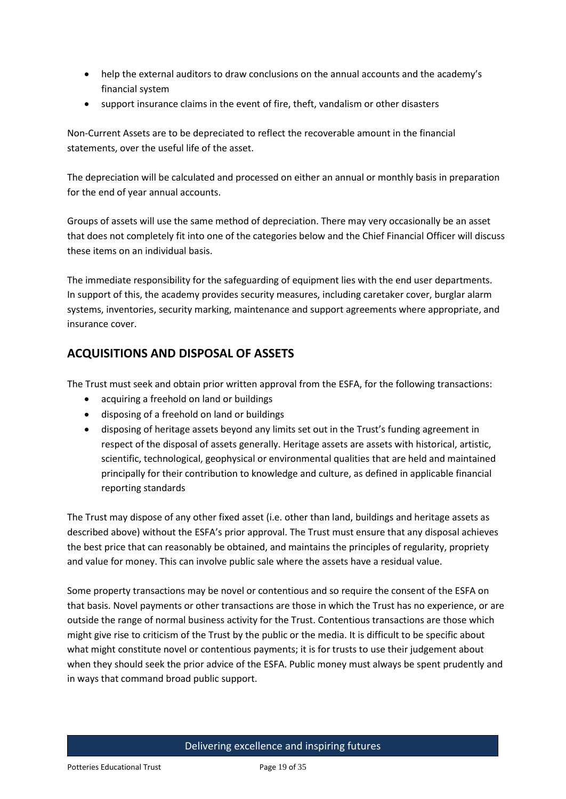- help the external auditors to draw conclusions on the annual accounts and the academy's financial system
- support insurance claims in the event of fire, theft, vandalism or other disasters

Non-Current Assets are to be depreciated to reflect the recoverable amount in the financial statements, over the useful life of the asset.

The depreciation will be calculated and processed on either an annual or monthly basis in preparation for the end of year annual accounts.

Groups of assets will use the same method of depreciation. There may very occasionally be an asset that does not completely fit into one of the categories below and the Chief Financial Officer will discuss these items on an individual basis.

The immediate responsibility for the safeguarding of equipment lies with the end user departments. In support of this, the academy provides security measures, including caretaker cover, burglar alarm systems, inventories, security marking, maintenance and support agreements where appropriate, and insurance cover.

# **ACQUISITIONS AND DISPOSAL OF ASSETS**

The Trust must seek and obtain prior written approval from the ESFA, for the following transactions:

- acquiring a freehold on land or buildings
- disposing of a freehold on land or buildings
- disposing of heritage assets beyond any limits set out in the Trust's funding agreement in respect of the disposal of assets generally. Heritage assets are assets with historical, artistic, scientific, technological, geophysical or environmental qualities that are held and maintained principally for their contribution to knowledge and culture, as defined in applicable financial reporting standards

The Trust may dispose of any other fixed asset (i.e. other than land, buildings and heritage assets as described above) without the ESFA's prior approval. The Trust must ensure that any disposal achieves the best price that can reasonably be obtained, and maintains the principles of regularity, propriety and value for money. This can involve public sale where the assets have a residual value.

Some property transactions may be novel or contentious and so require the consent of the ESFA on that basis. Novel payments or other transactions are those in which the Trust has no experience, or are outside the range of normal business activity for the Trust. Contentious transactions are those which might give rise to criticism of the Trust by the public or the media. It is difficult to be specific about what might constitute novel or contentious payments; it is for trusts to use their judgement about when they should seek the prior advice of the ESFA. Public money must always be spent prudently and in ways that command broad public support.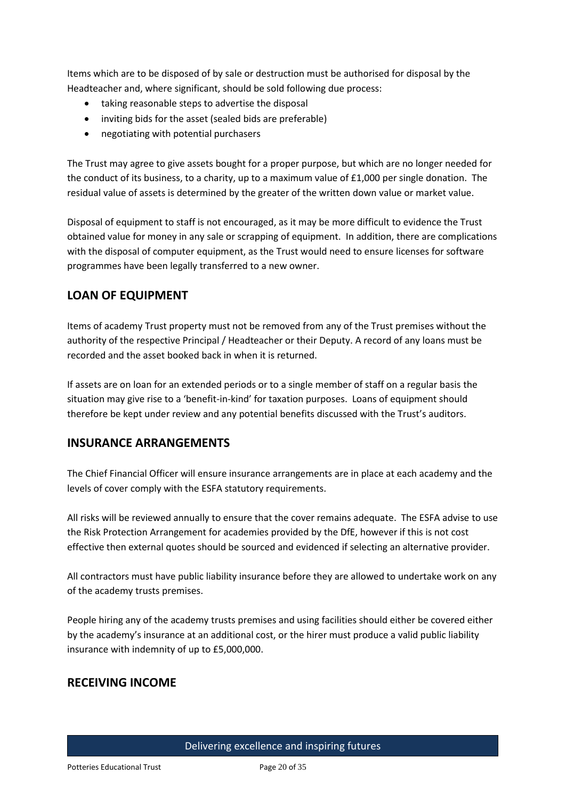Items which are to be disposed of by sale or destruction must be authorised for disposal by the Headteacher and, where significant, should be sold following due process:

- taking reasonable steps to advertise the disposal
- inviting bids for the asset (sealed bids are preferable)
- negotiating with potential purchasers

The Trust may agree to give assets bought for a proper purpose, but which are no longer needed for the conduct of its business, to a charity, up to a maximum value of £1,000 per single donation. The residual value of assets is determined by the greater of the written down value or market value.

Disposal of equipment to staff is not encouraged, as it may be more difficult to evidence the Trust obtained value for money in any sale or scrapping of equipment. In addition, there are complications with the disposal of computer equipment, as the Trust would need to ensure licenses for software programmes have been legally transferred to a new owner.

# **LOAN OF EQUIPMENT**

Items of academy Trust property must not be removed from any of the Trust premises without the authority of the respective Principal / Headteacher or their Deputy. A record of any loans must be recorded and the asset booked back in when it is returned.

If assets are on loan for an extended periods or to a single member of staff on a regular basis the situation may give rise to a 'benefit-in-kind' for taxation purposes. Loans of equipment should therefore be kept under review and any potential benefits discussed with the Trust's auditors.

# **INSURANCE ARRANGEMENTS**

The Chief Financial Officer will ensure insurance arrangements are in place at each academy and the levels of cover comply with the ESFA statutory requirements.

All risks will be reviewed annually to ensure that the cover remains adequate. The ESFA advise to use the Risk Protection Arrangement for academies provided by the DfE, however if this is not cost effective then external quotes should be sourced and evidenced if selecting an alternative provider.

All contractors must have public liability insurance before they are allowed to undertake work on any of the academy trusts premises.

People hiring any of the academy trusts premises and using facilities should either be covered either by the academy's insurance at an additional cost, or the hirer must produce a valid public liability insurance with indemnity of up to £5,000,000.

# **RECEIVING INCOME**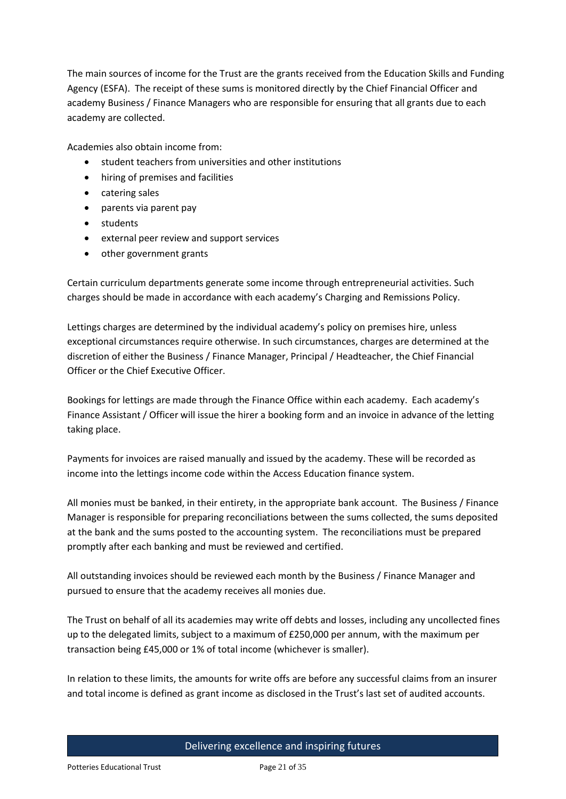The main sources of income for the Trust are the grants received from the Education Skills and Funding Agency (ESFA). The receipt of these sums is monitored directly by the Chief Financial Officer and academy Business / Finance Managers who are responsible for ensuring that all grants due to each academy are collected.

Academies also obtain income from:

- student teachers from universities and other institutions
- hiring of premises and facilities
- catering sales
- parents via parent pay
- students
- external peer review and support services
- other government grants

Certain curriculum departments generate some income through entrepreneurial activities. Such charges should be made in accordance with each academy's Charging and Remissions Policy.

Lettings charges are determined by the individual academy's policy on premises hire, unless exceptional circumstances require otherwise. In such circumstances, charges are determined at the discretion of either the Business / Finance Manager, Principal / Headteacher, the Chief Financial Officer or the Chief Executive Officer.

Bookings for lettings are made through the Finance Office within each academy. Each academy's Finance Assistant / Officer will issue the hirer a booking form and an invoice in advance of the letting taking place.

Payments for invoices are raised manually and issued by the academy. These will be recorded as income into the lettings income code within the Access Education finance system.

All monies must be banked, in their entirety, in the appropriate bank account. The Business / Finance Manager is responsible for preparing reconciliations between the sums collected, the sums deposited at the bank and the sums posted to the accounting system. The reconciliations must be prepared promptly after each banking and must be reviewed and certified.

All outstanding invoices should be reviewed each month by the Business / Finance Manager and pursued to ensure that the academy receives all monies due.

The Trust on behalf of all its academies may write off debts and losses, including any uncollected fines up to the delegated limits, subject to a maximum of £250,000 per annum, with the maximum per transaction being £45,000 or 1% of total income (whichever is smaller).

In relation to these limits, the amounts for write offs are before any successful claims from an insurer and total income is defined as grant income as disclosed in the Trust's last set of audited accounts.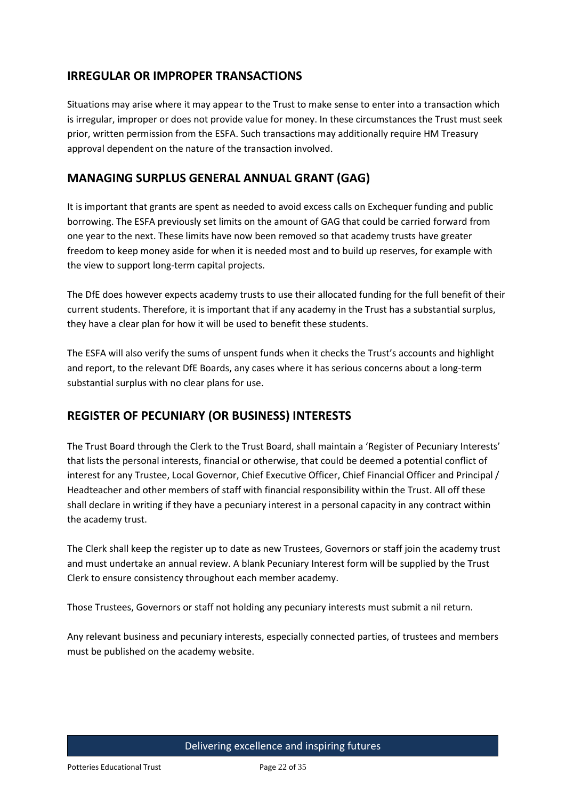# **IRREGULAR OR IMPROPER TRANSACTIONS**

Situations may arise where it may appear to the Trust to make sense to enter into a transaction which is irregular, improper or does not provide value for money. In these circumstances the Trust must seek prior, written permission from the ESFA. Such transactions may additionally require HM Treasury approval dependent on the nature of the transaction involved.

### **MANAGING SURPLUS GENERAL ANNUAL GRANT (GAG)**

It is important that grants are spent as needed to avoid excess calls on Exchequer funding and public borrowing. The ESFA previously set limits on the amount of GAG that could be carried forward from one year to the next. These limits have now been removed so that academy trusts have greater freedom to keep money aside for when it is needed most and to build up reserves, for example with the view to support long-term capital projects.

The DfE does however expects academy trusts to use their allocated funding for the full benefit of their current students. Therefore, it is important that if any academy in the Trust has a substantial surplus, they have a clear plan for how it will be used to benefit these students.

The ESFA will also verify the sums of unspent funds when it checks the Trust's accounts and highlight and report, to the relevant DfE Boards, any cases where it has serious concerns about a long-term substantial surplus with no clear plans for use.

# **REGISTER OF PECUNIARY (OR BUSINESS) INTERESTS**

The Trust Board through the Clerk to the Trust Board, shall maintain a 'Register of Pecuniary Interests' that lists the personal interests, financial or otherwise, that could be deemed a potential conflict of interest for any Trustee, Local Governor, Chief Executive Officer, Chief Financial Officer and Principal / Headteacher and other members of staff with financial responsibility within the Trust. All off these shall declare in writing if they have a pecuniary interest in a personal capacity in any contract within the academy trust.

The Clerk shall keep the register up to date as new Trustees, Governors or staff join the academy trust and must undertake an annual review. A blank Pecuniary Interest form will be supplied by the Trust Clerk to ensure consistency throughout each member academy.

Those Trustees, Governors or staff not holding any pecuniary interests must submit a nil return.

Any relevant business and pecuniary interests, especially connected parties, of trustees and members must be published on the academy website.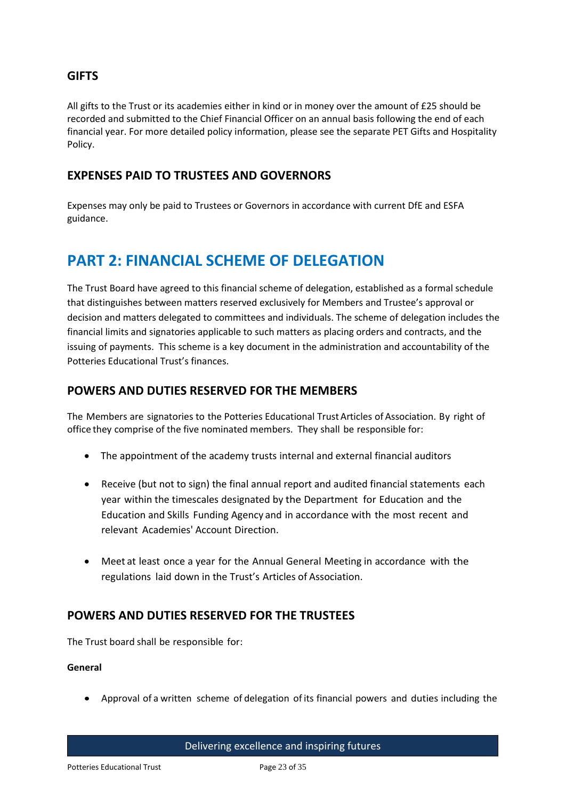### **GIFTS**

All gifts to the Trust or its academies either in kind or in money over the amount of £25 should be recorded and submitted to the Chief Financial Officer on an annual basis following the end of each financial year. For more detailed policy information, please see the separate PET Gifts and Hospitality Policy.

### **EXPENSES PAID TO TRUSTEES AND GOVERNORS**

Expenses may only be paid to Trustees or Governors in accordance with current DfE and ESFA guidance.

# **PART 2: FINANCIAL SCHEME OF DELEGATION**

The Trust Board have agreed to this financial scheme of delegation, established as a formal schedule that distinguishes between matters reserved exclusively for Members and Trustee's approval or decision and matters delegated to committees and individuals. The scheme of delegation includes the financial limits and signatories applicable to such matters as placing orders and contracts, and the issuing of payments. This scheme is a key document in the administration and accountability of the Potteries Educational Trust's finances.

### **POWERS AND DUTIES RESERVED FOR THE MEMBERS**

The Members are signatories to the Potteries Educational Trust Articles of Association. By right of office they comprise of the five nominated members. They shall be responsible for:

- The appointment of the academy trusts internal and external financial auditors
- Receive (but not to sign) the final annual report and audited financial statements each year within the timescales designated by the Department for Education and the Education and Skills Funding Agency and in accordance with the most recent and relevant Academies' Account Direction.
- Meet at least once a year for the Annual General Meeting in accordance with the regulations laid down in the Trust's Articles of Association.

# **POWERS AND DUTIES RESERVED FOR THE TRUSTEES**

The Trust board shall be responsible for:

### **General**

Approval of a written scheme of delegation of its financial powers and duties including the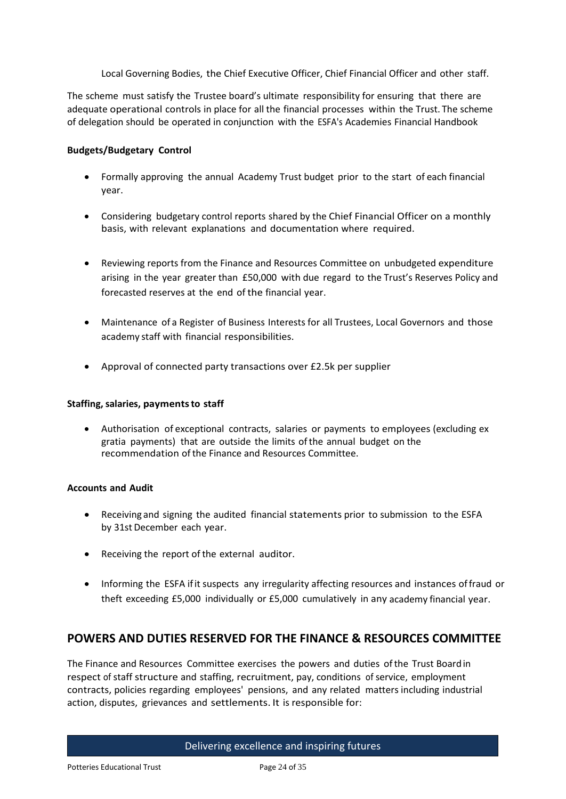Local Governing Bodies, the Chief Executive Officer, Chief Financial Officer and other staff.

The scheme must satisfy the Trustee board's ultimate responsibility for ensuring that there are adequate operational controls in place for all the financial processes within the Trust. The scheme of delegation should be operated in conjunction with the ESFA's Academies Financial Handbook

### **Budgets/Budgetary Control**

- Formally approving the annual Academy Trust budget prior to the start of each financial year.
- Considering budgetary control reports shared by the Chief Financial Officer on a monthly basis, with relevant explanations and documentation where required.
- Reviewing reports from the Finance and Resources Committee on unbudgeted expenditure arising in the year greater than £50,000 with due regard to the Trust's Reserves Policy and forecasted reserves at the end of the financial year.
- Maintenance of a Register of Business Interests for all Trustees, Local Governors and those academy staff with financial responsibilities.
- Approval of connected party transactions over £2.5k per supplier

#### **Staffing, salaries, paymentsto staff**

 Authorisation of exceptional contracts, salaries or payments to employees (excluding ex gratia payments) that are outside the limits ofthe annual budget on the recommendation ofthe Finance and Resources Committee.

#### **Accounts and Audit**

- Receiving and signing the audited financial statements prior to submission to the ESFA by 31st December each year.
- Receiving the report of the external auditor.
- Informing the ESFA if it suspects any irregularity affecting resources and instances of fraud or theft exceeding £5,000 individually or £5,000 cumulatively in any academy financial year.

### **POWERS AND DUTIES RESERVED FOR THE FINANCE & RESOURCES COMMITTEE**

The Finance and Resources Committee exercises the powers and duties ofthe Trust Boardin respect of staff structure and staffing, recruitment, pay, conditions of service, employment contracts, policies regarding employees' pensions, and any related matters including industrial action, disputes, grievances and settlements. It is responsible for: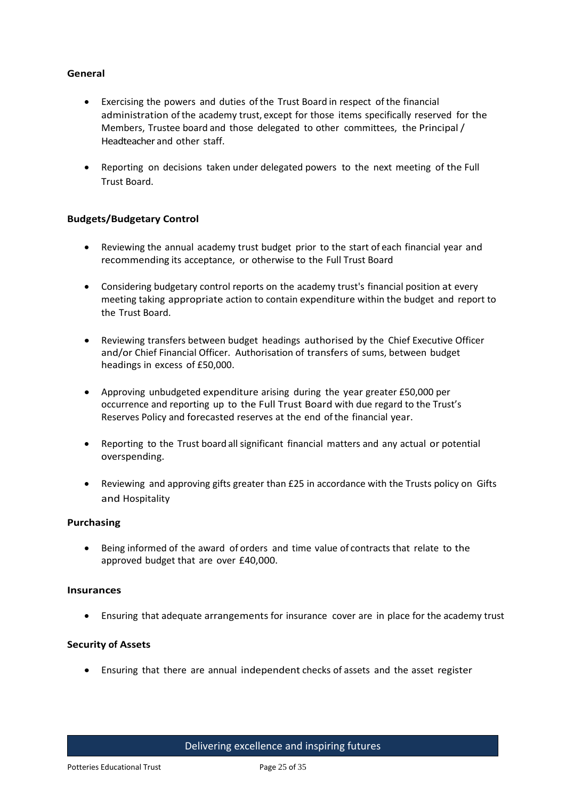### **General**

- Exercising the powers and duties of the Trust Board in respect of the financial administration ofthe academy trust, except for those items specifically reserved for the Members, Trustee board and those delegated to other committees, the Principal/ Headteacher and other staff.
- Reporting on decisions taken under delegated powers to the next meeting of the Full Trust Board.

### **Budgets/Budgetary Control**

- Reviewing the annual academy trust budget prior to the start of each financial year and recommending its acceptance, or otherwise to the Full Trust Board
- Considering budgetary control reports on the academy trust's financial position at every meeting taking appropriate action to contain expenditure within the budget and report to the Trust Board.
- Reviewing transfers between budget headings authorised by the Chief Executive Officer and/or Chief Financial Officer. Authorisation of transfers of sums, between budget headings in excess of £50,000.
- Approving unbudgeted expenditure arising during the year greater £50,000 per occurrence and reporting up to the Full Trust Board with due regard to the Trust's Reserves Policy and forecasted reserves at the end of the financial year.
- Reporting to the Trust board all significant financial matters and any actual or potential overspending.
- Reviewing and approving gifts greater than £25 in accordance with the Trusts policy on Gifts and Hospitality

### **Purchasing**

 Being informed of the award of orders and time value of contracts that relate to the approved budget that are over £40,000.

#### **Insurances**

Ensuring that adequate arrangements for insurance cover are in place for the academy trust

### **Security of Assets**

Ensuring that there are annual independent checks of assets and the asset register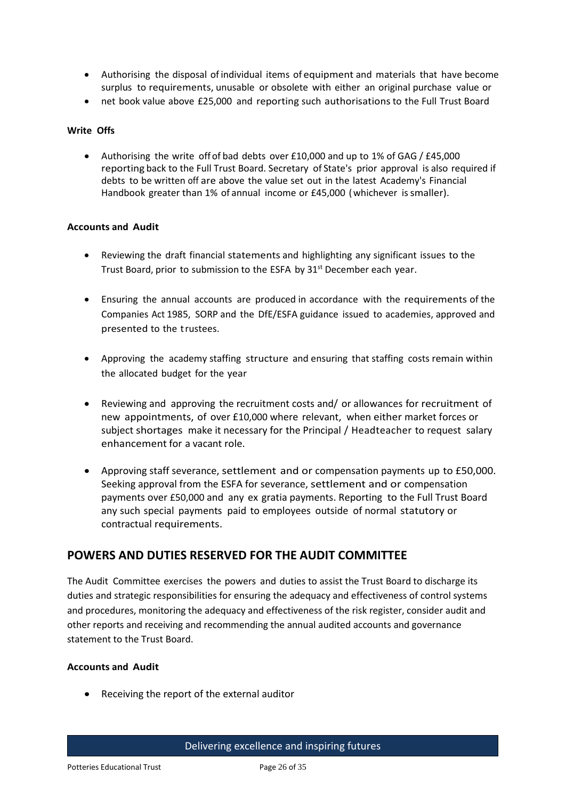- Authorising the disposal of individual items of equipment and materials that have become surplus to requirements, unusable or obsolete with either an original purchase value or
- net book value above £25,000 and reporting such authorisations to the Full Trust Board

### **Write Offs**

 Authorising the write offof bad debts over £10,000 and up to 1% of GAG / £45,000 reporting back to the Full Trust Board. Secretary of State's prior approval is also required if debts to be written off are above the value set out in the latest Academy's Financial Handbook greater than 1% of annual income or £45,000 (whichever issmaller).

### **Accounts and Audit**

- Reviewing the draft financial statements and highlighting any significant issues to the Trust Board, prior to submission to the ESFA by 31<sup>st</sup> December each year.
- Ensuring the annual accounts are produced in accordance with the requirements of the Companies Act 1985, SORP and the DfE/ESFA guidance issued to academies, approved and presented to the trustees.
- Approving the academy staffing structure and ensuring that staffing costs remain within the allocated budget for the year
- Reviewing and approving the recruitment costs and/ or allowances for recruitment of new appointments, of over £10,000 where relevant, when either market forces or subject shortages make it necessary for the Principal / Headteacher to request salary enhancement for a vacant role.
- Approving staff severance, settlement and or compensation payments up to £50,000. Seeking approval from the ESFA for severance, settlement and or compensation payments over £50,000 and any ex gratia payments. Reporting to the Full Trust Board any such special payments paid to employees outside of normal statutory or contractual requirements.

# **POWERS AND DUTIES RESERVED FOR THE AUDIT COMMITTEE**

The Audit Committee exercises the powers and duties to assist the Trust Board to discharge its duties and strategic responsibilities for ensuring the adequacy and effectiveness of control systems and procedures, monitoring the adequacy and effectiveness of the risk register, consider audit and other reports and receiving and recommending the annual audited accounts and governance statement to the Trust Board.

### **Accounts and Audit**

Receiving the report of the external auditor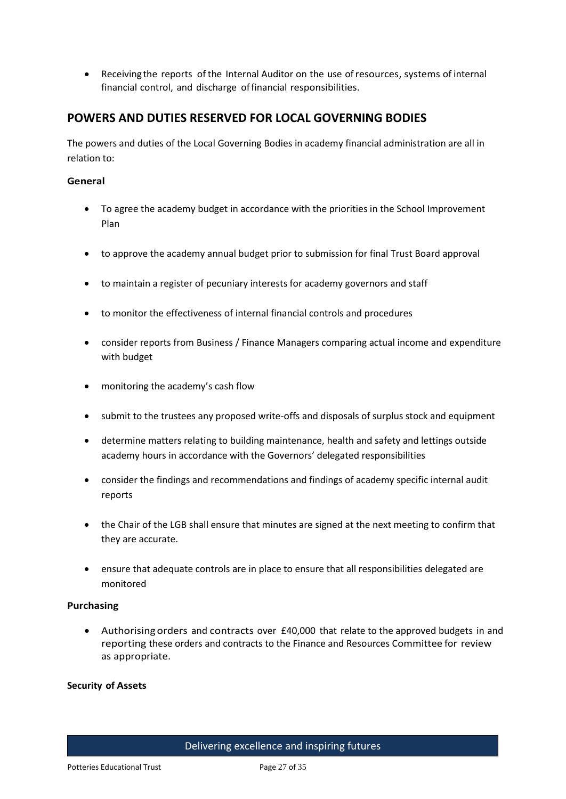Receiving the reports of the Internal Auditor on the use ofresources, systems of internal financial control, and discharge offinancial responsibilities.

# **POWERS AND DUTIES RESERVED FOR LOCAL GOVERNING BODIES**

The powers and duties of the Local Governing Bodies in academy financial administration are all in relation to:

### **General**

- To agree the academy budget in accordance with the priorities in the School Improvement Plan
- to approve the academy annual budget prior to submission for final Trust Board approval
- to maintain a register of pecuniary interests for academy governors and staff
- to monitor the effectiveness of internal financial controls and procedures
- consider reports from Business / Finance Managers comparing actual income and expenditure with budget
- monitoring the academy's cash flow
- submit to the trustees any proposed write-offs and disposals of surplus stock and equipment
- determine matters relating to building maintenance, health and safety and lettings outside academy hours in accordance with the Governors' delegated responsibilities
- consider the findings and recommendations and findings of academy specific internal audit reports
- the Chair of the LGB shall ensure that minutes are signed at the next meeting to confirm that they are accurate.
- ensure that adequate controls are in place to ensure that all responsibilities delegated are monitored

### **Purchasing**

 Authorisingorders and contracts over £40,000 that relate to the approved budgets in and reporting these orders and contracts to the Finance and Resources Committee for review as appropriate.

#### **Security of Assets**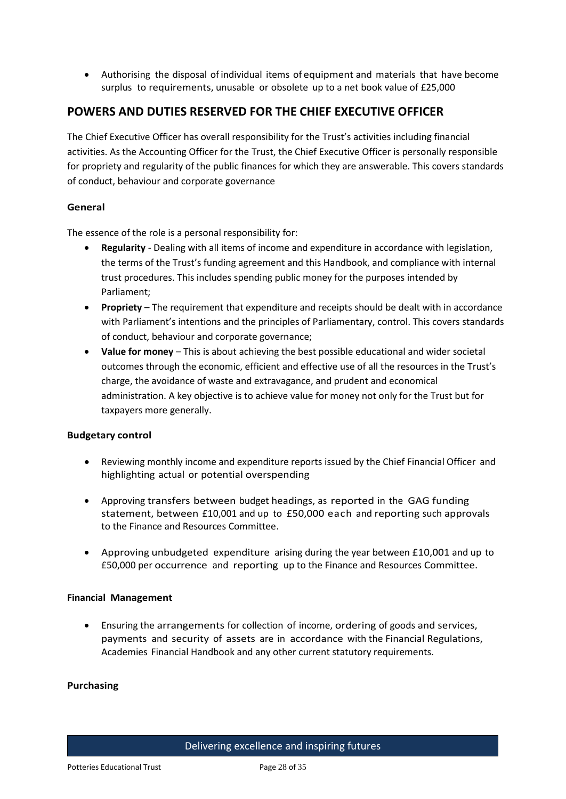Authorising the disposal of individual items of equipment and materials that have become surplus to requirements, unusable or obsolete up to a net book value of £25,000

# **POWERS AND DUTIES RESERVED FOR THE CHIEF EXECUTIVE OFFICER**

The Chief Executive Officer has overall responsibility for the Trust's activities including financial activities. As the Accounting Officer for the Trust, the Chief Executive Officer is personally responsible for propriety and regularity of the public finances for which they are answerable. This covers standards of conduct, behaviour and corporate governance

### **General**

The essence of the role is a personal responsibility for:

- **Regularity** Dealing with all items of income and expenditure in accordance with legislation, the terms of the Trust's funding agreement and this Handbook, and compliance with internal trust procedures. This includes spending public money for the purposes intended by Parliament;
- **Propriety** The requirement that expenditure and receipts should be dealt with in accordance with Parliament's intentions and the principles of Parliamentary, control. This covers standards of conduct, behaviour and corporate governance;
- **Value for money** This is about achieving the best possible educational and wider societal outcomes through the economic, efficient and effective use of all the resources in the Trust's charge, the avoidance of waste and extravagance, and prudent and economical administration. A key objective is to achieve value for money not only for the Trust but for taxpayers more generally.

### **Budgetary control**

- Reviewing monthly income and expenditure reports issued by the Chief Financial Officer and highlighting actual or potential overspending
- Approving transfers between budget headings, as reported in the GAG funding statement, between £10,001 and up to £50,000 each and reporting such approvals to the Finance and Resources Committee.
- Approving unbudgeted expenditure arising during the year between £10,001 and up to £50,000 per occurrence and reporting up to the Finance and Resources Committee.

### **Financial Management**

 Ensuring the arrangements for collection of income, ordering of goods and services, payments and security of assets are in accordance with the Financial Regulations, Academies Financial Handbook and any other current statutory requirements.

### **Purchasing**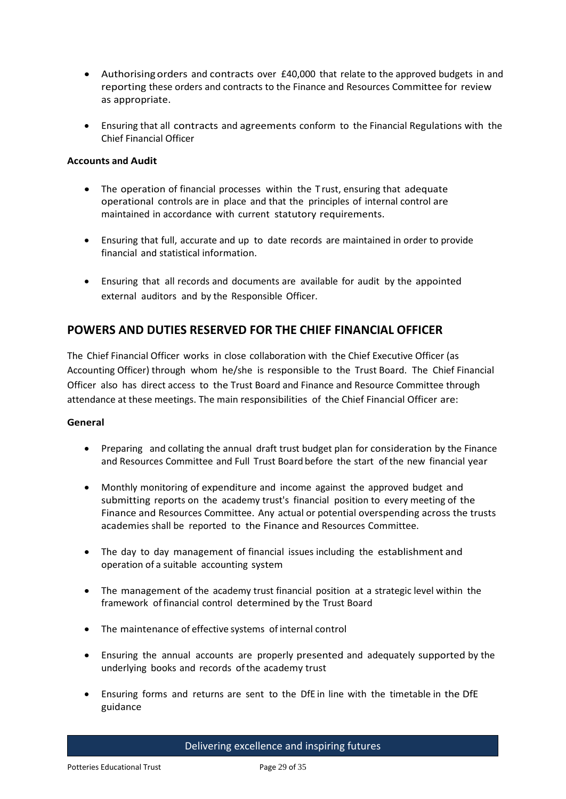- Authorisingorders and contracts over £40,000 that relate to the approved budgets in and reporting these orders and contracts to the Finance and Resources Committee for review as appropriate.
- Ensuring that all contracts and agreements conform to the Financial Regulations with the Chief Financial Officer

### **Accounts and Audit**

- The operation of financial processes within the T rust, ensuring that adequate operational controls are in place and that the principles of internal control are maintained in accordance with current statutory requirements.
- Ensuring that full, accurate and up to date records are maintained in order to provide financial and statistical information.
- Ensuring that all records and documents are available for audit by the appointed external auditors and by the Responsible Officer.

# **POWERS AND DUTIES RESERVED FOR THE CHIEF FINANCIAL OFFICER**

The Chief Financial Officer works in close collaboration with the Chief Executive Officer (as Accounting Officer) through whom he/she is responsible to the Trust Board. The Chief Financial Officer also has direct access to the Trust Board and Finance and Resource Committee through attendance at these meetings. The main responsibilities of the Chief Financial Officer are:

### **General**

- Preparing and collating the annual draft trust budget plan for consideration by the Finance and Resources Committee and Full Trust Board before the start of the new financial year
- Monthly monitoring of expenditure and income against the approved budget and submitting reports on the academy trust's financial position to every meeting of the Finance and Resources Committee. Any actual or potential overspending across the trusts academies shall be reported to the Finance and Resources Committee.
- The day to day management of financial issues including the establishment and operation of a suitable accounting system
- The management of the academy trust financial position at a strategic level within the framework offinancial control determined by the Trust Board
- The maintenance of effective systems of internal control
- Ensuring the annual accounts are properly presented and adequately supported by the underlying books and records ofthe academy trust
- Ensuring forms and returns are sent to the DfE in line with the timetable in the DfE guidance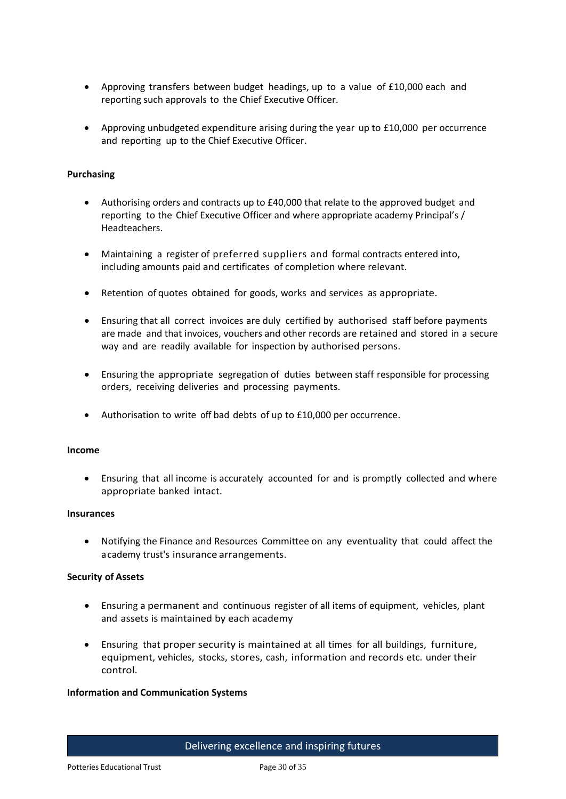- Approving transfers between budget headings, up to a value of £10,000 each and reporting such approvals to the Chief Executive Officer.
- Approving unbudgeted expenditure arising during the year up to £10,000 per occurrence and reporting up to the Chief Executive Officer.

### **Purchasing**

- Authorising orders and contracts up to £40,000 that relate to the approved budget and reporting to the Chief Executive Officer and where appropriate academy Principal's / Headteachers.
- Maintaining a register of preferred suppliers and formal contracts entered into, including amounts paid and certificates of completion where relevant.
- Retention of quotes obtained for goods, works and services as appropriate.
- Ensuring that all correct invoices are duly certified by authorised staff before payments are made and that invoices, vouchers and other records are retained and stored in a secure way and are readily available for inspection by authorised persons.
- Ensuring the appropriate segregation of duties between staff responsible for processing orders, receiving deliveries and processing payments.
- Authorisation to write off bad debts of up to £10,000 per occurrence.

#### **Income**

 Ensuring that all income is accurately accounted for and is promptly collected and where appropriate banked intact.

#### **Insurances**

 Notifying the Finance and Resources Committee on any eventuality that could affect the academy trust's insurance arrangements.

#### **Security of Assets**

- Ensuring a permanent and continuous register of all items of equipment, vehicles, plant and assets is maintained by each academy
- Ensuring that proper security is maintained at all times for all buildings, furniture, equipment, vehicles, stocks, stores, cash, information and records etc. under their control.

#### **Information and Communication Systems**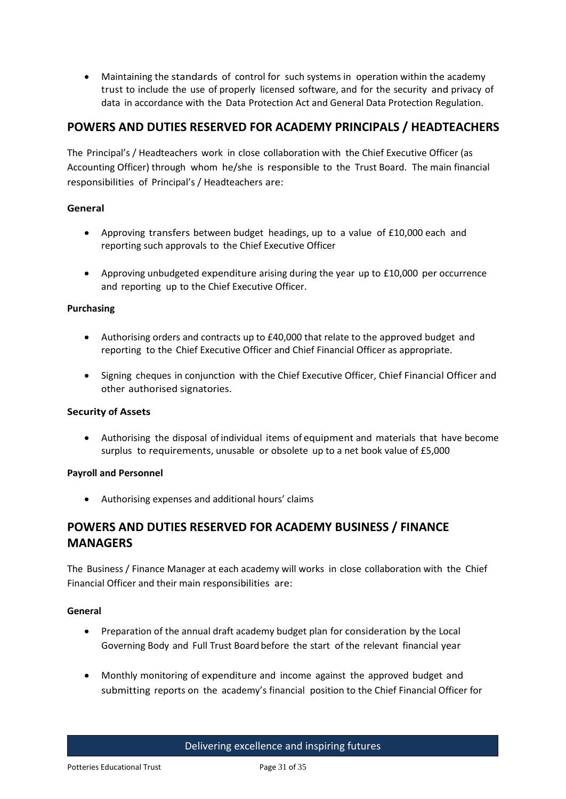Maintaining the standards of control for such systems in operation within the academy trust to include the use of properly licensed software, and for the security and privacy of data in accordance with the Data Protection Act and General Data Protection Regulation.

# **POWERS AND DUTIES RESERVED FOR ACADEMY PRINCIPALS / HEADTEACHERS**

The Principal's / Headteachers work in close collaboration with the Chief Executive Officer (as Accounting Officer) through whom he/she is responsible to the Trust Board. The main financial responsibilities of Principal's / Headteachers are:

### **General**

- Approving transfers between budget headings, up to a value of £10,000 each and reporting such approvals to the Chief Executive Officer
- Approving unbudgeted expenditure arising during the year up to £10,000 per occurrence and reporting up to the Chief Executive Officer.

### **Purchasing**

- Authorising orders and contracts up to £40,000 that relate to the approved budget and reporting to the Chief Executive Officer and Chief Financial Officer as appropriate.
- Signing cheques in conjunction with the Chief Executive Officer, Chief Financial Officer and other authorised signatories.

### **Security of Assets**

 Authorising the disposal of individual items of equipment and materials that have become surplus to requirements, unusable or obsolete up to a net book value of £5,000

### **Payroll and Personnel**

Authorising expenses and additional hours' claims

# **POWERS AND DUTIES RESERVED FOR ACADEMY BUSINESS / FINANCE MANAGERS**

The Business / Finance Manager at each academy will works in close collaboration with the Chief Financial Officer and their main responsibilities are:

### **General**

- Preparation of the annual draft academy budget plan for consideration by the Local Governing Body and Full Trust Board before the start of the relevant financial year
- Monthly monitoring of expenditure and income against the approved budget and submitting reports on the academy's financial position to the Chief Financial Officer for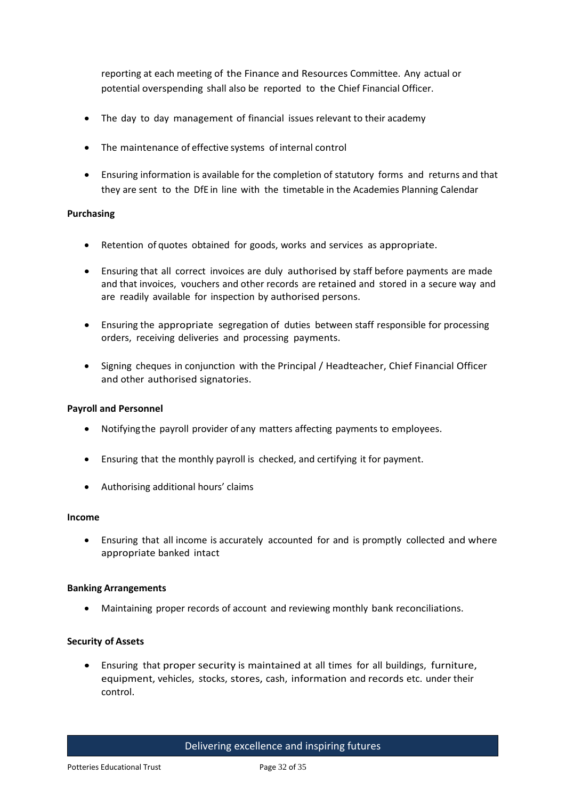reporting at each meeting of the Finance and Resources Committee. Any actual or potential overspending shall also be reported to the Chief Financial Officer.

- The day to day management of financial issues relevant to their academy
- The maintenance of effective systems of internal control
- Ensuring information is available for the completion of statutory forms and returns and that they are sent to the DfE in line with the timetable in the Academies Planning Calendar

### **Purchasing**

- Retention of quotes obtained for goods, works and services as appropriate.
- Ensuring that all correct invoices are duly authorised by staff before payments are made and that invoices, vouchers and other records are retained and stored in a secure way and are readily available for inspection by authorised persons.
- Ensuring the appropriate segregation of duties between staff responsible for processing orders, receiving deliveries and processing payments.
- Signing cheques in conjunction with the Principal / Headteacher, Chief Financial Officer and other authorised signatories.

### **Payroll and Personnel**

- Notifying the payroll provider of any matters affecting payments to employees.
- Ensuring that the monthly payroll is checked, and certifying it for payment.
- Authorising additional hours' claims

### **Income**

 Ensuring that all income is accurately accounted for and is promptly collected and where appropriate banked intact

### **Banking Arrangements**

Maintaining proper records of account and reviewing monthly bank reconciliations.

### **Security of Assets**

 Ensuring that proper security is maintained at all times for all buildings, furniture, equipment, vehicles, stocks, stores, cash, information and records etc. under their control.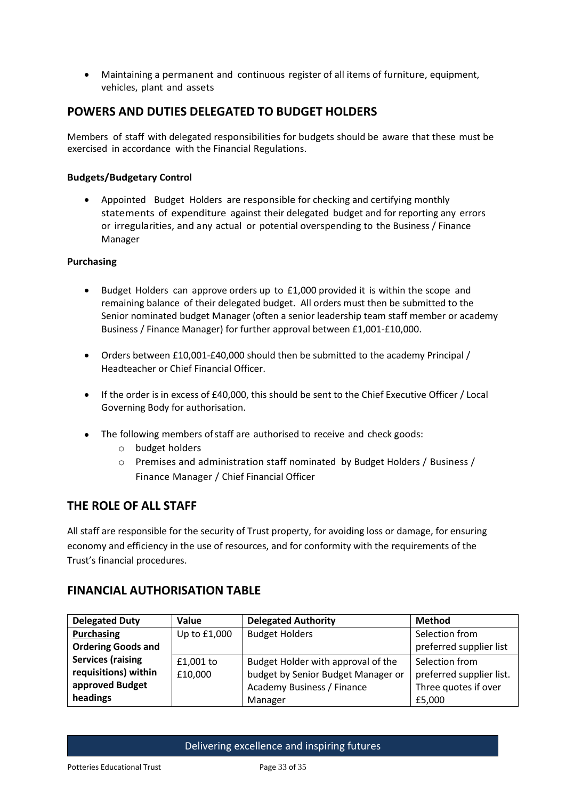Maintaining a permanent and continuous register of all items of furniture, equipment, vehicles, plant and assets

# **POWERS AND DUTIES DELEGATED TO BUDGET HOLDERS**

Members of staff with delegated responsibilities for budgets should be aware that these must be exercised in accordance with the Financial Regulations.

### **Budgets/Budgetary Control**

 Appointed Budget Holders are responsible for checking and certifying monthly statements of expenditure against their delegated budget and for reporting any errors or irregularities, and any actual or potential overspending to the Business / Finance Manager

### **Purchasing**

- Budget Holders can approve orders up to £1,000 provided it is within the scope and remaining balance of their delegated budget. All orders must then be submitted to the Senior nominated budget Manager (often a senior leadership team staff member or academy Business / Finance Manager) for further approval between £1,001-£10,000.
- Orders between £10,001-£40,000 should then be submitted to the academy Principal / Headteacher or Chief Financial Officer.
- If the order is in excess of £40,000, this should be sent to the Chief Executive Officer / Local Governing Body for authorisation.
- The following members of staff are authorised to receive and check goods:
	- o budget holders
	- o Premises and administration staff nominated by Budget Holders / Business / Finance Manager / Chief Financial Officer

# **THE ROLE OF ALL STAFF**

All staff are responsible for the security of Trust property, for avoiding loss or damage, for ensuring economy and efficiency in the use of resources, and for conformity with the requirements of the Trust's financial procedures.

# **FINANCIAL AUTHORISATION TABLE**

| <b>Delegated Duty</b>     | Value        | <b>Delegated Authority</b>         | <b>Method</b>            |
|---------------------------|--------------|------------------------------------|--------------------------|
| Purchasing                | Up to £1,000 | <b>Budget Holders</b>              | Selection from           |
| <b>Ordering Goods and</b> |              |                                    | preferred supplier list  |
| <b>Services (raising</b>  | £1,001 to    | Budget Holder with approval of the | Selection from           |
| requisitions) within      | £10,000      | budget by Senior Budget Manager or | preferred supplier list. |
| approved Budget           |              | Academy Business / Finance         | Three quotes if over     |
| headings                  |              | Manager                            | £5,000                   |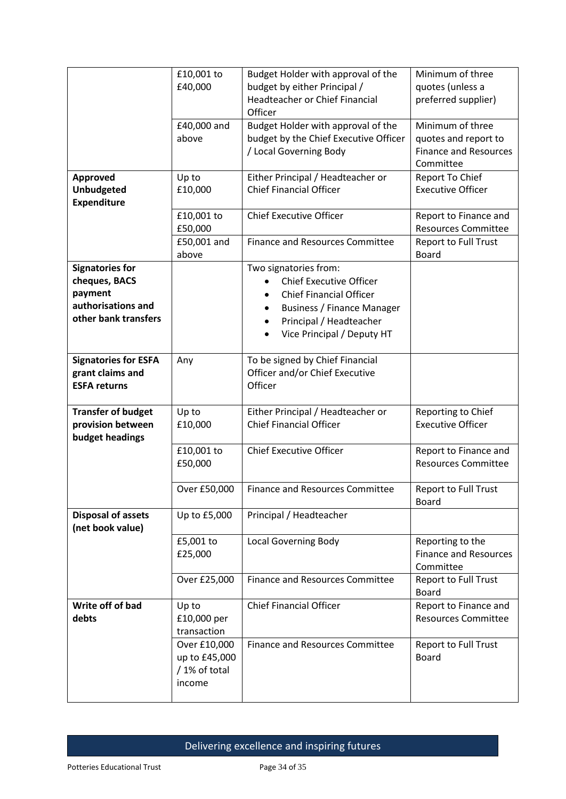|                                                                                                  | £10,001 to<br>£40,000                                    | Budget Holder with approval of the<br>budget by either Principal /<br>Headteacher or Chief Financial<br>Officer                                                                              | Minimum of three<br>quotes (unless a<br>preferred supplier)                           |
|--------------------------------------------------------------------------------------------------|----------------------------------------------------------|----------------------------------------------------------------------------------------------------------------------------------------------------------------------------------------------|---------------------------------------------------------------------------------------|
|                                                                                                  | £40,000 and<br>above                                     | Budget Holder with approval of the<br>budget by the Chief Executive Officer<br>/ Local Governing Body                                                                                        | Minimum of three<br>quotes and report to<br><b>Finance and Resources</b><br>Committee |
| Approved<br><b>Unbudgeted</b><br><b>Expenditure</b>                                              | Up to<br>£10,000                                         | Either Principal / Headteacher or<br><b>Chief Financial Officer</b>                                                                                                                          | Report To Chief<br><b>Executive Officer</b>                                           |
|                                                                                                  | £10,001 to<br>£50,000                                    | <b>Chief Executive Officer</b>                                                                                                                                                               | Report to Finance and<br><b>Resources Committee</b>                                   |
|                                                                                                  | £50,001 and<br>above                                     | <b>Finance and Resources Committee</b>                                                                                                                                                       | <b>Report to Full Trust</b><br><b>Board</b>                                           |
| <b>Signatories for</b><br>cheques, BACS<br>payment<br>authorisations and<br>other bank transfers |                                                          | Two signatories from:<br><b>Chief Executive Officer</b><br><b>Chief Financial Officer</b><br><b>Business / Finance Manager</b><br>٠<br>Principal / Headteacher<br>Vice Principal / Deputy HT |                                                                                       |
| <b>Signatories for ESFA</b><br>grant claims and<br><b>ESFA returns</b>                           | Any                                                      | To be signed by Chief Financial<br>Officer and/or Chief Executive<br>Officer                                                                                                                 |                                                                                       |
| <b>Transfer of budget</b><br>provision between<br>budget headings                                | Up to<br>£10,000                                         | Either Principal / Headteacher or<br><b>Chief Financial Officer</b>                                                                                                                          | Reporting to Chief<br><b>Executive Officer</b>                                        |
|                                                                                                  | £10,001 to<br>£50,000                                    | <b>Chief Executive Officer</b>                                                                                                                                                               | Report to Finance and<br><b>Resources Committee</b>                                   |
|                                                                                                  | Over £50,000                                             | <b>Finance and Resources Committee</b>                                                                                                                                                       | <b>Report to Full Trust</b><br><b>Board</b>                                           |
| <b>Disposal of assets</b><br>(net book value)                                                    | Up to £5,000                                             | Principal / Headteacher                                                                                                                                                                      |                                                                                       |
|                                                                                                  | £5,001 to<br>£25,000                                     | <b>Local Governing Body</b>                                                                                                                                                                  | Reporting to the<br><b>Finance and Resources</b><br>Committee                         |
|                                                                                                  | Over £25,000                                             | <b>Finance and Resources Committee</b>                                                                                                                                                       | Report to Full Trust<br><b>Board</b>                                                  |
| Write off of bad<br>debts                                                                        | Up to<br>£10,000 per<br>transaction                      | <b>Chief Financial Officer</b>                                                                                                                                                               | Report to Finance and<br><b>Resources Committee</b>                                   |
|                                                                                                  | Over £10,000<br>up to £45,000<br>/ 1% of total<br>income | <b>Finance and Resources Committee</b>                                                                                                                                                       | Report to Full Trust<br><b>Board</b>                                                  |